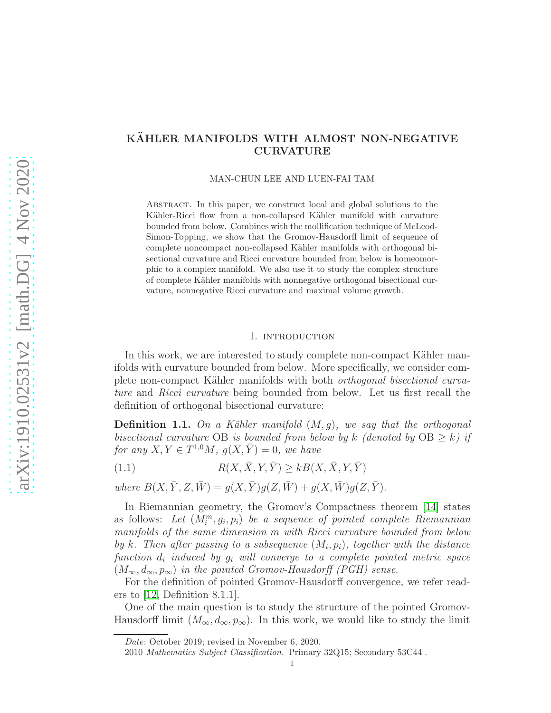# arXiv:1910.02531v2 [math.DG] 4 Nov 2020 [arXiv:1910.02531v2 \[math.DG\] 4 Nov 2020](http://arxiv.org/abs/1910.02531v2)

# KÄHLER MANIFOLDS WITH ALMOST NON-NEGATIVE CURVATURE

MAN-CHUN LEE AND LUEN-FAI TAM

Abstract. In this paper, we construct local and global solutions to the Kähler-Ricci flow from a non-collapsed Kähler manifold with curvature bounded from below. Combines with the mollification technique of McLeod-Simon-Topping, we show that the Gromov-Hausdorff limit of sequence of complete noncompact non-collapsed Kähler manifolds with orthogonal bisectional curvature and Ricci curvature bounded from below is homeomorphic to a complex manifold. We also use it to study the complex structure of complete K¨ahler manifolds with nonnegative orthogonal bisectional curvature, nonnegative Ricci curvature and maximal volume growth.

## 1. introduction

In this work, we are interested to study complete non-compact Kähler manifolds with curvature bounded from below. More specifically, we consider complete non-compact Kähler manifolds with both *orthogonal bisectional curva*ture and Ricci curvature being bounded from below. Let us first recall the definition of orthogonal bisectional curvature:

**Definition 1.1.** On a Kähler manifold  $(M, g)$ , we say that the orthogonal bisectional curvature OB is bounded from below by k (denoted by  $OB \ge k$ ) if for any  $X, Y \in T^{1,0}M$ ,  $g(X, \bar{Y}) = 0$ , we have

<span id="page-0-0"></span>(1.1)  $R(X, \bar{X}, Y, \bar{Y}) > kB(X, \bar{X}, Y, \bar{Y})$ 

where  $B(X, \bar{Y}, Z, \bar{W}) = g(X, \bar{Y})g(Z, \bar{W}) + g(X, \bar{W})g(Z, \bar{Y}).$ 

In Riemannian geometry, the Gromov's Compactness theorem [\[14\]](#page-29-0) states as follows: Let  $(M_i^m, g_i, p_i)$  be a sequence of pointed complete Riemannian manifolds of the same dimension m with Ricci curvature bounded from below by k. Then after passing to a subsequence  $(M_i, p_i)$ , together with the distance  $function \, d_i \, induced \, by \, g_i \, will \, converge \, to \, a \, complete \, pointed \, metric \, space$  $(M_{\infty}, d_{\infty}, p_{\infty})$  in the pointed Gromov-Hausdorff (PGH) sense.

For the definition of pointed Gromov-Hausdorff convergence, we refer readers to [\[12,](#page-29-1) Definition 8.1.1].

One of the main question is to study the structure of the pointed Gromov-Hausdorff limit  $(M_{\infty}, d_{\infty}, p_{\infty})$ . In this work, we would like to study the limit

Date: October 2019; revised in November 6, 2020.

<sup>2010</sup> Mathematics Subject Classification. Primary 32Q15; Secondary 53C44 .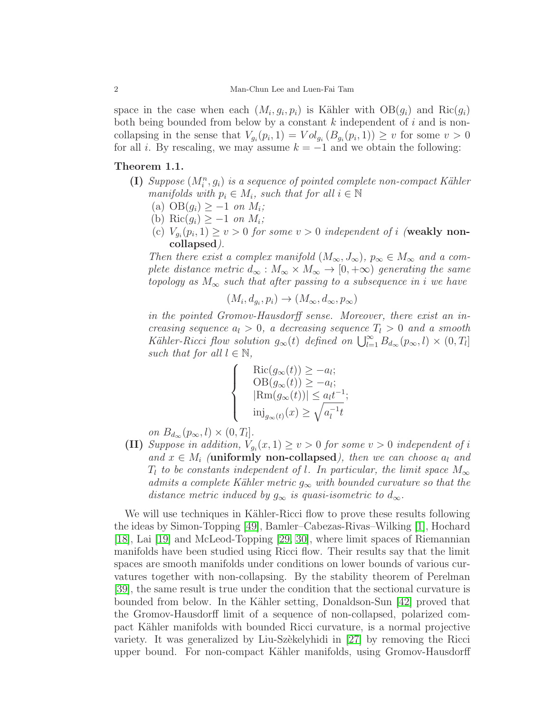space in the case when each  $(M_i, g_i, p_i)$  is Kähler with  $OB(g_i)$  and  $Ric(g_i)$ both being bounded from below by a constant  $k$  independent of  $i$  and is noncollapsing in the sense that  $V_{g_i}(p_i, 1) = Vol_{g_i}(B_{g_i}(p_i, 1)) \geq v$  for some  $v > 0$ for all i. By rescaling, we may assume  $k = -1$  and we obtain the following:

# <span id="page-1-0"></span>Theorem 1.1.

- (I) Suppose  $(M_i^n, g_i)$  is a sequence of pointed complete non-compact Kähler manifolds with  $p_i \in M_i$ , such that for all  $i \in \mathbb{N}$ 
	- (a)  $OB(g_i) \geq -1$  on  $M_i$ ;
	- (b) Ric $(g_i) \geq -1$  on  $M_i$ ;
	- (c)  $V_{g_i}(p_i, 1) \ge v > 0$  for some  $v > 0$  independent of i (weakly noncollapsed).

Then there exist a complex manifold  $(M_{\infty}, J_{\infty}), p_{\infty} \in M_{\infty}$  and a complete distance metric  $d_{\infty}: M_{\infty} \times M_{\infty} \to [0, +\infty)$  generating the same topology as  $M_{\infty}$  such that after passing to a subsequence in i we have

$$
(M_i, d_{g_i}, p_i) \to (M_\infty, d_\infty, p_\infty)
$$

in the pointed Gromov-Hausdorff sense. Moreover, there exist an increasing sequence  $a_l > 0$ , a decreasing sequence  $T_l > 0$  and a smooth Kähler-Ricci flow solution  $g_{\infty}(t)$  defined on  $\bigcup_{l=1}^{\infty} B_{d_{\infty}}(p_{\infty}, l) \times (0, T_l]$ such that for all  $l \in \mathbb{N}$ ,

$$
\begin{cases}\n\operatorname{Ric}(g_{\infty}(t)) \ge -a_{l}; \\
\operatorname{OB}(g_{\infty}(t)) \ge -a_{l}; \\
|\operatorname{Rm}(g_{\infty}(t))| \le a_{l}t^{-1}; \\
\operatorname{inj}_{g_{\infty}(t)}(x) \ge \sqrt{a_{l}^{-1}t}\n\end{cases}
$$

on  $B_{d_{\infty}}(p_{\infty}, l) \times (0, T_l].$ 

(II) Suppose in addition,  $V_{g_i}(x,1) \ge v > 0$  for some  $v > 0$  independent of i and  $x \in M_i$  (uniformly non-collapsed), then we can choose  $a_l$  and  $T_l$  to be constants independent of l. In particular, the limit space  $M_{\infty}$ admits a complete Kähler metric  $g_{\infty}$  with bounded curvature so that the distance metric induced by  $g_{\infty}$  is quasi-isometric to  $d_{\infty}$ .

We will use techniques in Kähler-Ricci flow to prove these results following the ideas by Simon-Topping [\[49\]](#page-31-0), Bamler–Cabezas-Rivas–Wilking [\[1\]](#page-29-2), Hochard [\[18\]](#page-30-0), Lai [\[19\]](#page-30-1) and McLeod-Topping [\[29,](#page-30-2) [30\]](#page-30-3), where limit spaces of Riemannian manifolds have been studied using Ricci flow. Their results say that the limit spaces are smooth manifolds under conditions on lower bounds of various curvatures together with non-collapsing. By the stability theorem of Perelman [\[39\]](#page-30-4), the same result is true under the condition that the sectional curvature is bounded from below. In the K¨ahler setting, Donaldson-Sun [\[42\]](#page-31-1) proved that the Gromov-Hausdorff limit of a sequence of non-collapsed, polarized compact Kähler manifolds with bounded Ricci curvature, is a normal projective variety. It was generalized by Liu-Szèkelyhidi in  $[27]$  by removing the Ricci upper bound. For non-compact K¨ahler manifolds, using Gromov-Hausdorff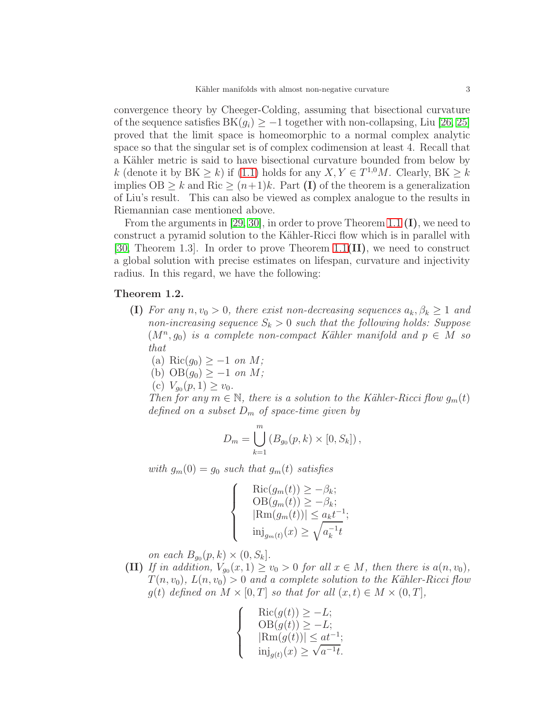convergence theory by Cheeger-Colding, assuming that bisectional curvature of the sequence satisfies  $BK(g_i) \geq -1$  together with non-collapsing, Liu [\[26,](#page-30-6) [25\]](#page-30-7) proved that the limit space is homeomorphic to a normal complex analytic space so that the singular set is of complex codimension at least 4. Recall that a Kähler metric is said to have bisectional curvature bounded from below by k (denote it by  $BK \ge k$ ) if [\(1.1\)](#page-0-0) holds for any  $X, Y \in T^{1,0}M$ . Clearly,  $BK \ge k$ implies  $OB > k$  and Ric  $\geq (n+1)k$ . Part (I) of the theorem is a generalization of Liu's result. This can also be viewed as complex analogue to the results in Riemannian case mentioned above.

From the arguments in [\[29,](#page-30-2) [30\]](#page-30-3), in order to prove Theorem [1.1](#page-1-0)  $(I)$ , we need to construct a pyramid solution to the Kähler-Ricci flow which is in parallel with [\[30,](#page-30-3) Theorem 1.3]. In order to prove Theorem [1.1](#page-1-0)( $\text{II}$ ), we need to construct a global solution with precise estimates on lifespan, curvature and injectivity radius. In this regard, we have the following:

# <span id="page-2-0"></span>Theorem 1.2.

- (I) For any  $n, v_0 > 0$ , there exist non-decreasing sequences  $a_k, \beta_k \geq 1$  and non-increasing sequence  $S_k > 0$  such that the following holds: Suppose  $(M^n, g_0)$  is a complete non-compact Kähler manifold and  $p \in M$  so that
	- (a) Ric $(g_0) \geq -1$  on M;
	- (b)  $OB(g_0) \geq -1$  on M;
	- (c)  $V_{g_0}(p,1) \ge v_0$ .

Then for any  $m \in \mathbb{N}$ , there is a solution to the Kähler-Ricci flow  $g_m(t)$ defined on a subset  $D_m$  of space-time given by

$$
D_m = \bigcup_{k=1}^m (B_{g_0}(p, k) \times [0, S_k]),
$$

with  $g_m(0) = g_0$  such that  $g_m(t)$  satisfies

 $\sqrt{ }$  $\Big\}$  $\overline{\mathcal{L}}$  $\text{Ric}(g_m(t)) \geq -\beta_k;$  $OB(g_m(t)) \geq -\beta_k;$  $|\text{Rm}(g_m(t))| \leq a_k t^{-1};$  $\mathrm{inj}_{g_m(t)}(x) \geq$  $\sqrt{ }$  $a_k^{-1}$  $\overline{k}^{-1}t$ 

on each  $B_{g_0}(p, k) \times (0, S_k]$ .

(II) If in addition,  $V_{g_0}(x,1) \ge v_0 > 0$  for all  $x \in M$ , then there is  $a(n,v_0)$ ,  $T(n, v_0), L(n, v_0) > 0$  and a complete solution to the Kähler-Ricci flow  $g(t)$  defined on  $M \times [0,T]$  so that for all  $(x,t) \in M \times (0,T]$ ,

$$
\begin{cases}\n\operatorname{Ric}(g(t)) \ge -L; \\
\operatorname{OB}(g(t)) \ge -L; \\
|\operatorname{Rm}(g(t))| \le at^{-1}; \\
\operatorname{inj}_{g(t)}(x) \ge \sqrt{a^{-1}t}.\n\end{cases}
$$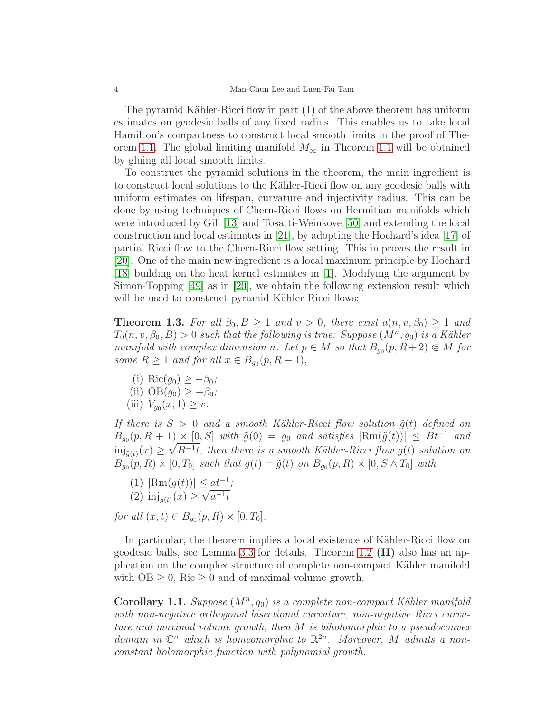The pyramid Kähler-Ricci flow in part  $(I)$  of the above theorem has uniform estimates on geodesic balls of any fixed radius. This enables us to take local Hamilton's compactness to construct local smooth limits in the proof of The-orem [1.1.](#page-1-0) The global limiting manifold  $M_{\infty}$  in Theorem [1.1](#page-1-0) will be obtained by gluing all local smooth limits.

To construct the pyramid solutions in the theorem, the main ingredient is to construct local solutions to the Kähler-Ricci flow on any geodesic balls with uniform estimates on lifespan, curvature and injectivity radius. This can be done by using techniques of Chern-Ricci flows on Hermitian manifolds which were introduced by Gill [\[13\]](#page-29-3) and Tosatti-Weinkove [\[50\]](#page-31-2) and extending the local construction and local estimates in [\[21\]](#page-30-8), by adopting the Hochard's idea [\[17\]](#page-30-9) of partial Ricci flow to the Chern-Ricci flow setting. This improves the result in [\[20\]](#page-30-10). One of the main new ingredient is a local maximum principle by Hochard [\[18\]](#page-30-0) building on the heat kernel estimates in [\[1\]](#page-29-2). Modifying the argument by Simon-Topping [\[49\]](#page-31-0) as in [\[20\]](#page-30-10), we obtain the following extension result which will be used to construct pyramid Kähler-Ricci flows:

<span id="page-3-1"></span>**Theorem 1.3.** For all  $\beta_0, B \ge 1$  and  $v > 0$ , there exist  $a(n, v, \beta_0) \ge 1$  and  $T_0(n, v, \beta_0, B) > 0$  such that the following is true: Suppose  $(M^n, g_0)$  is a Kähler manifold with complex dimension n. Let  $p \in M$  so that  $B_{g_0}(p, R+2) \in M$  for some  $R \ge 1$  and for all  $x \in B_{g_0}(p, R+1)$ ,

- (i) Ric $(g_0) \geq -\beta_0$ ;
- (ii)  $OB(q_0) > -\beta_0;$
- (iii)  $V_{g_0}(x, 1) \ge v$ .

If there is  $S > 0$  and a smooth Kähler-Ricci flow solution  $\tilde{q}(t)$  defined on  $B_{g_0}(p, R + 1) \times [0, S]$  with  $\tilde{g}(0) = g_0$  and satisfies  $|\text{Rm}(\tilde{g}(t))| \leq Bt^{-1}$  and  $\inf_{\tilde{g}(t)} (x) \geq \sqrt{B^{-1}t}$ , then there is a smooth Kähler-Ricci flow  $g(t)$  solution on  $B_{g_0}(p, R) \times [0, T_0]$  such that  $g(t) = \tilde{g}(t)$  on  $B_{g_0}(p, R) \times [0, S \wedge T_0]$  with

(1) 
$$
|\text{Rm}(g(t))| \leq at^{-1}
$$
;  
(2)  $\text{inj}_{g(t)}(x) \geq \sqrt{a^{-1}t}$ 

for all  $(x, t) \in B_{g_0}(p, R) \times [0, T_0]$ .

In particular, the theorem implies a local existence of Kähler-Ricci flow on geodesic balls, see Lemma [3.3](#page-15-0) for details. Theorem [1.2](#page-2-0) (II) also has an application on the complex structure of complete non-compact Kähler manifold with  $OB \geq 0$ , Ric  $\geq 0$  and of maximal volume growth.

<span id="page-3-0"></span>Corollary 1.1. Suppose  $(M^n, g_0)$  is a complete non-compact Kähler manifold with non-negative orthogonal bisectional curvature, non-negative Ricci curvature and maximal volume growth, then M is biholomorphic to a pseudoconvex domain in  $\mathbb{C}^n$  which is homeomorphic to  $\mathbb{R}^{2n}$ . Moreover, M admits a nonconstant holomorphic function with polynomial growth.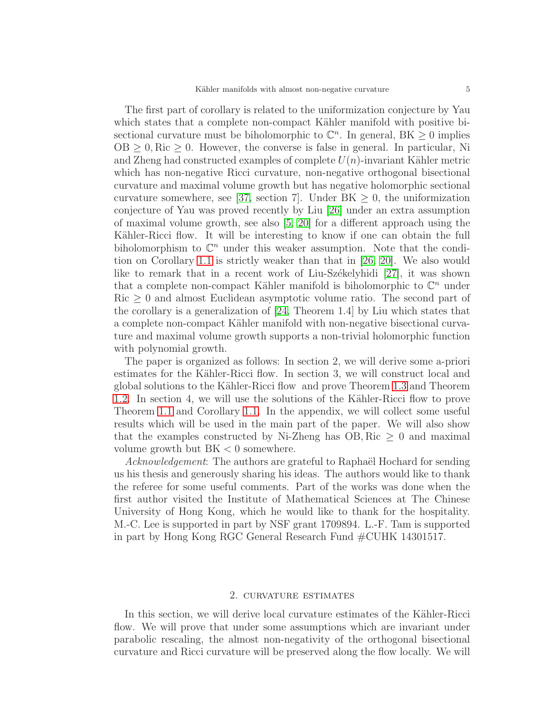The first part of corollary is related to the uniformization conjecture by Yau which states that a complete non-compact Kähler manifold with positive bisectional curvature must be biholomorphic to  $\mathbb{C}^n$ . In general,  $BK \geq 0$  implies  $OB \geq 0$ , Ric  $\geq 0$ . However, the converse is false in general. In particular, Ni and Zheng had constructed examples of complete  $U(n)$ -invariant Kähler metric which has non-negative Ricci curvature, non-negative orthogonal bisectional curvature and maximal volume growth but has negative holomorphic sectional curvature somewhere, see [\[37,](#page-30-11) section 7]. Under  $BK \geq 0$ , the uniformization conjecture of Yau was proved recently by Liu [\[26\]](#page-30-6) under an extra assumption of maximal volume growth, see also [\[5,](#page-29-4) [20\]](#page-30-10) for a different approach using the Kähler-Ricci flow. It will be interesting to know if one can obtain the full biholomorphism to  $\mathbb{C}^n$  under this weaker assumption. Note that the condition on Corollary [1.1](#page-3-0) is strictly weaker than that in [\[26,](#page-30-6) [20\]](#page-30-10). We also would like to remark that in a recent work of Liu-Sz $\acute{e}$ kelyhidi [\[27\]](#page-30-5), it was shown that a complete non-compact Kähler manifold is biholomorphic to  $\mathbb{C}^n$  under  $Ric \geq 0$  and almost Euclidean asymptotic volume ratio. The second part of the corollary is a generalization of [\[24,](#page-30-12) Theorem 1.4] by Liu which states that a complete non-compact Kähler manifold with non-negative bisectional curvature and maximal volume growth supports a non-trivial holomorphic function with polynomial growth.

The paper is organized as follows: In section 2, we will derive some a-priori estimates for the Kähler-Ricci flow. In section 3, we will construct local and global solutions to the Kähler-Ricci flow and prove Theorem [1.3](#page-3-1) and Theorem [1.2.](#page-2-0) In section 4, we will use the solutions of the Kähler-Ricci flow to prove Theorem [1.1](#page-1-0) and Corollary [1.1.](#page-3-0) In the appendix, we will collect some useful results which will be used in the main part of the paper. We will also show that the examples constructed by Ni-Zheng has OB, Ric  $\geq 0$  and maximal volume growth but  $BK < 0$  somewhere.

Acknowledgement: The authors are grateful to Raphaël Hochard for sending us his thesis and generously sharing his ideas. The authors would like to thank the referee for some useful comments. Part of the works was done when the first author visited the Institute of Mathematical Sciences at The Chinese University of Hong Kong, which he would like to thank for the hospitality. M.-C. Lee is supported in part by NSF grant 1709894. L.-F. Tam is supported in part by Hong Kong RGC General Research Fund #CUHK 14301517.

### 2. curvature estimates

In this section, we will derive local curvature estimates of the Kähler-Ricci flow. We will prove that under some assumptions which are invariant under parabolic rescaling, the almost non-negativity of the orthogonal bisectional curvature and Ricci curvature will be preserved along the flow locally. We will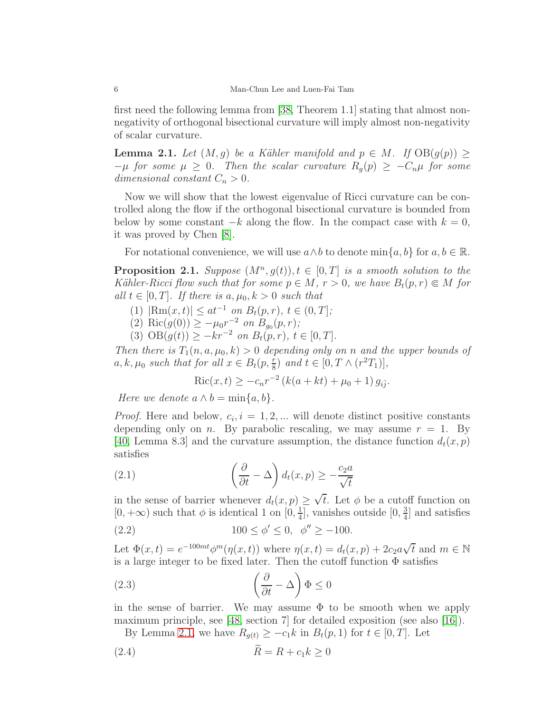first need the following lemma from [\[38,](#page-30-13) Theorem 1.1] stating that almost nonnegativity of orthogonal bisectional curvature will imply almost non-negativity of scalar curvature.

<span id="page-5-0"></span>**Lemma 2.1.** Let  $(M, q)$  be a Kähler manifold and  $p \in M$ . If  $OB(q(p))$  >  $-\mu$  for some  $\mu \geq 0$ . Then the scalar curvature  $R_q(p) \geq -C_n\mu$  for some dimensional constant  $C_n > 0$ .

Now we will show that the lowest eigenvalue of Ricci curvature can be controlled along the flow if the orthogonal bisectional curvature is bounded from below by some constant  $-k$  along the flow. In the compact case with  $k = 0$ , it was proved by Chen [\[8\]](#page-29-5).

For notational convenience, we will use  $a \wedge b$  to denote  $\min\{a, b\}$  for  $a, b \in \mathbb{R}$ .

<span id="page-5-2"></span>**Proposition 2.1.** Suppose  $(M^n, g(t)), t \in [0, T]$  is a smooth solution to the Kähler-Ricci flow such that for some  $p \in M$ ,  $r > 0$ , we have  $B_t(p,r) \subseteq M$  for all  $t \in [0, T]$ . If there is  $a, \mu_0, k > 0$  such that

- (1)  $|\text{Rm}(x, t)| \leq at^{-1}$  on  $B_t(p, r)$ ,  $t \in (0, T]$ ;
- (2) Ric $(g(0)) \ge -\mu_0 r^{-2}$  on  $B_{g_0}(p,r)$ ;
- (3)  $OB(g(t)) \geq -kr^{-2}$  on  $B_t(p,r)$ ,  $t \in [0, T]$ .

Then there is  $T_1(n, a, \mu_0, k) > 0$  depending only on n and the upper bounds of  $a, k, \mu_0$  such that for all  $x \in B_t(p, \frac{r}{8})$  and  $t \in [0, T \wedge (r^2T_1)],$ 

$$
Ric(x, t) \ge -c_n r^{-2} (k(a + kt) + \mu_0 + 1) g_{i\bar{j}}.
$$

Here we denote  $a \wedge b = \min\{a, b\}.$ 

*Proof.* Here and below,  $c_i$ ,  $i = 1, 2, ...$  will denote distinct positive constants depending only on n. By parabolic rescaling, we may assume  $r = 1$ . By [\[40,](#page-30-14) Lemma 8.3] and the curvature assumption, the distance function  $d_t(x, p)$ satisfies

(2.1) 
$$
\left(\frac{\partial}{\partial t} - \Delta\right) d_t(x, p) \ge -\frac{c_2 a}{\sqrt{t}}
$$

in the sense of barrier whenever  $d_t(x, p) \ge \sqrt{t}$ . Let  $\phi$  be a cutoff function on  $[0, +\infty)$  such that  $\phi$  is identical 1 on  $[0, \frac{1}{4}]$  $\frac{1}{4}$ , vanishes outside  $[0, \frac{3}{4}]$  $\frac{3}{4}$  and satisfies

(2.2) 
$$
100 \le \phi' \le 0, \ \phi'' \ge -100.
$$

Let  $\Phi(x,t) = e^{-100mt} \phi^m(\eta(x,t))$  where  $\eta(x,t) = d_t(x,p) + 2c_2 a \sqrt{t}$  and  $m \in \mathbb{N}$ is a large integer to be fixed later. Then the cutoff function  $\Phi$  satisfies

<span id="page-5-1"></span>(2.3) 
$$
\left(\frac{\partial}{\partial t} - \Delta\right) \Phi \le 0
$$

in the sense of barrier. We may assume  $\Phi$  to be smooth when we apply maximum principle, see [\[48,](#page-31-3) section 7] for detailed exposition (see also [\[16\]](#page-29-6)).

By Lemma [2.1,](#page-5-0) we have  $R_{g(t)} \geq -c_1k$  in  $B_t(p, 1)$  for  $t \in [0, T]$ . Let

$$
(2.4) \t\t R = R + c_1 k \ge 0
$$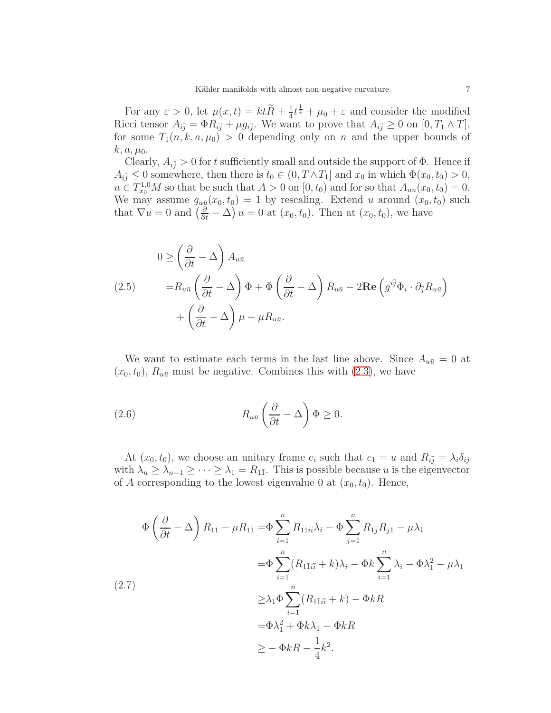For any  $\varepsilon > 0$ , let  $\mu(x, t) = ktR + \frac{1}{4}$  $\frac{1}{4}t^{\frac{1}{4}} + \mu_0 + \varepsilon$  and consider the modified Ricci tensor  $A_{i\bar{j}} = \Phi R_{i\bar{j}} + \mu g_{i\bar{j}}$ . We want to prove that  $A_{i\bar{j}} \geq 0$  on  $[0, T_1 \wedge T]$ , for some  $T_1(n, k, a, \mu_0) > 0$  depending only on n and the upper bounds of  $k, a, \mu_0.$ 

Clearly,  $A_{i\bar{j}} > 0$  for t sufficiently small and outside the support of  $\Phi$ . Hence if  $A_{i\bar{j}} \leq 0$  somewhere, then there is  $t_0 \in (0, T \wedge T_1]$  and  $x_0$  in which  $\Phi(x_0, t_0) > 0$ ,  $u \in T_{x_0}^{1,0}M$  so that be such that  $A > 0$  on  $[0, t_0)$  and for so that  $A_{u\bar{u}}(x_0, t_0) = 0$ . We may assume  $g_{u\bar{u}}(x_0, t_0) = 1$  by rescaling. Extend u around  $(x_0, t_0)$  such that  $\nabla u = 0$  and  $\left(\frac{\partial}{\partial t} - \Delta\right) u = 0$  at  $(x_0, t_0)$ . Then at  $(x_0, t_0)$ , we have

<span id="page-6-0"></span>(2.5) 
$$
0 \ge \left(\frac{\partial}{\partial t} - \Delta\right) A_{u\bar{u}} = R_{u\bar{u}} \left(\frac{\partial}{\partial t} - \Delta\right) \Phi + \Phi \left(\frac{\partial}{\partial t} - \Delta\right) R_{u\bar{u}} - 2 \text{Re} \left(g^{i\bar{j}} \Phi_i \cdot \partial_{\bar{j}} R_{u\bar{u}}\right) + \left(\frac{\partial}{\partial t} - \Delta\right) \mu - \mu R_{u\bar{u}}.
$$

We want to estimate each terms in the last line above. Since  $A_{u\bar{u}} = 0$  at  $(x_0, t_0)$ ,  $R_{u\bar{u}}$  must be negative. Combines this with [\(2.3\)](#page-5-1), we have

(2.6) 
$$
R_{u\bar{u}}\left(\frac{\partial}{\partial t} - \Delta\right)\Phi \geq 0.
$$

At  $(x_0, t_0)$ , we choose an unitary frame  $e_i$  such that  $e_1 = u$  and  $R_{i\bar{j}} = \lambda_i \delta_{ij}$ with  $\lambda_n \geq \lambda_{n-1} \geq \cdots \geq \lambda_1 = R_{11}$ . This is possible because u is the eigenvector of A corresponding to the lowest eigenvalue 0 at  $(x_0, t_0)$ . Hence,

$$
\Phi\left(\frac{\partial}{\partial t} - \Delta\right) R_{1\bar{1}} - \mu R_{1\bar{1}} = \Phi \sum_{i=1}^{n} R_{1\bar{1}i\bar{i}} \lambda_i - \Phi \sum_{j=1}^{n} R_{1\bar{j}} R_{j\bar{1}} - \mu \lambda_1
$$
  
\n
$$
= \Phi \sum_{i=1}^{n} (R_{1\bar{1}i\bar{i}} + k) \lambda_i - \Phi k \sum_{i=1}^{n} \lambda_i - \Phi \lambda_1^2 - \mu \lambda_1
$$
  
\n
$$
\geq \lambda_1 \Phi \sum_{i=1}^{n} (R_{1\bar{1}i\bar{i}} + k) - \Phi kR
$$
  
\n
$$
= \Phi \lambda_1^2 + \Phi k \lambda_1 - \Phi kR
$$
  
\n
$$
\geq - \Phi kR - \frac{1}{4}k^2.
$$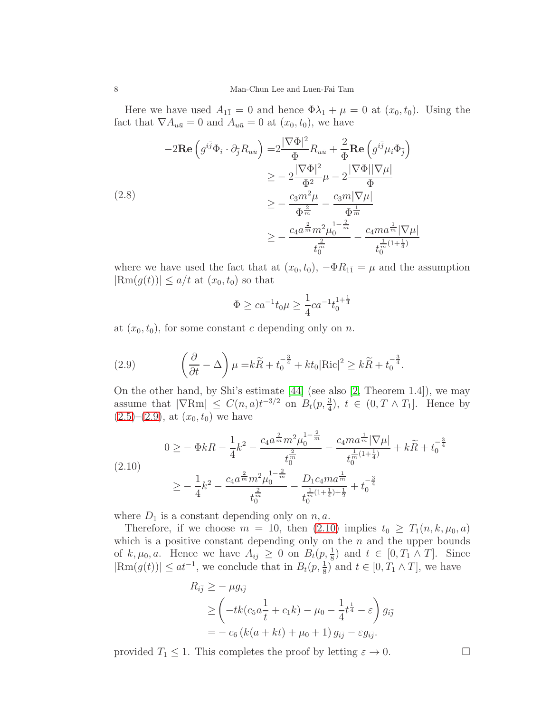Here we have used  $A_{1\bar{1}} = 0$  and hence  $\Phi \lambda_1 + \mu = 0$  at  $(x_0, t_0)$ . Using the fact that  $\nabla A_{u\bar{u}} = 0$  and  $A_{u\bar{u}} = 0$  at  $(x_0, t_0)$ , we have

$$
-2\mathbf{Re}\left(g^{i\bar{j}}\Phi_{i}\cdot\partial_{\bar{j}}R_{u\bar{u}}\right) = 2\frac{|\nabla\Phi|^{2}}{\Phi}R_{u\bar{u}} + \frac{2}{\Phi}\mathbf{Re}\left(g^{i\bar{j}}\mu_{i}\Phi_{\bar{j}}\right)
$$
  
\n
$$
\geq -2\frac{|\nabla\Phi|^{2}}{\Phi^{2}}\mu - 2\frac{|\nabla\Phi||\nabla\mu|}{\Phi}
$$
  
\n(2.8)  
\n
$$
\geq -\frac{c_{3}m^{2}\mu}{\Phi^{\frac{2}{m}}}\frac{c_{3}m|\nabla\mu|}{\Phi^{\frac{1}{m}}}
$$
  
\n
$$
\geq -\frac{c_{4}a^{\frac{2}{m}}m^{2}\mu_{0}^{1-\frac{2}{m}}}{t_{0}^{\frac{2}{m}}}\frac{c_{4}ma^{\frac{1}{m}}|\nabla\mu|}{t_{0}^{\frac{1}{m}(1+\frac{1}{4})}}
$$

where we have used the fact that at  $(x_0, t_0)$ ,  $-\Phi R_{1\bar{1}} = \mu$  and the assumption  $|\text{Rm}(g(t))| \leq a/t$  at  $(x_0, t_0)$  so that

$$
\Phi \ge ca^{-1}t_0\mu \ge \frac{1}{4}ca^{-1}t_0^{1+\frac{1}{4}}
$$

at  $(x_0, t_0)$ , for some constant c depending only on n.

<span id="page-7-0"></span>(2.9) 
$$
\left(\frac{\partial}{\partial t} - \Delta\right)\mu = k\widetilde{R} + t_0^{-\frac{3}{4}} + kt_0|\text{Ric}|^2 \geq k\widetilde{R} + t_0^{-\frac{3}{4}}.
$$

On the other hand, by Shi's estimate [\[44\]](#page-31-4) (see also [\[2,](#page-29-7) Theorem 1.4]), we may assume that  $|\nabla \text{Rm}| \leq C(n, a)t^{-3/2}$  on  $B_t(p, \frac{3}{4}), t \in (0, T \wedge T_1].$  Hence by  $(2.5)-(2.9)$  $(2.5)-(2.9)$  $(2.5)-(2.9)$ , at  $(x_0, t_0)$  we have

<span id="page-7-1"></span>
$$
(2.10)
$$
\n
$$
0 \geq -\Phi k R - \frac{1}{4}k^2 - \frac{c_4 a^{\frac{2}{m}} m^2 \mu_0^{1 - \frac{2}{m}}}{t_0^{\frac{2}{m}}} - \frac{c_4 m a^{\frac{1}{m}} |\nabla \mu|}{t_0^{\frac{1}{m}(1 + \frac{1}{4})}} + k\widetilde{R} + t_0^{-\frac{3}{4}}
$$
\n
$$
\geq -\frac{1}{4}k^2 - \frac{c_4 a^{\frac{2}{m}} m^2 \mu_0^{1 - \frac{2}{m}}}{t_0^{\frac{2}{m}}} - \frac{D_1 c_4 m a^{\frac{1}{m}}}{t_0^{\frac{1}{m}(1 + \frac{1}{4}) + \frac{1}{2}}} + t_0^{-\frac{3}{4}}
$$

where  $D_1$  is a constant depending only on  $n, a$ .

Therefore, if we choose  $m = 10$ , then  $(2.10)$  implies  $t_0 \geq T_1(n, k, \mu_0, a)$ which is a positive constant depending only on the  $n$  and the upper bounds of  $k, \mu_0, a$ . Hence we have  $A_{i\bar{j}} \geq 0$  on  $B_t(p, \frac{1}{8})$  and  $t \in [0, T_1 \wedge T]$ . Since  $|\text{Rm}(g(t))| \leq at^{-1}$ , we conclude that in  $B_t(p, \frac{1}{8})$  and  $t \in [0, T_1 \wedge T]$ , we have

$$
R_{i\bar{j}} \ge -\mu g_{i\bar{j}}\ge \left(-tk(c_5a\frac{1}{t} + c_1k) - \mu_0 - \frac{1}{4}t^{\frac{1}{4}} - \varepsilon\right)g_{i\bar{j}}= -c_6(k(a + kt) + \mu_0 + 1) g_{i\bar{j}} - \varepsilon g_{i\bar{j}}.
$$

provided  $T_1 \leq 1$ . This completes the proof by letting  $\varepsilon \to 0$ .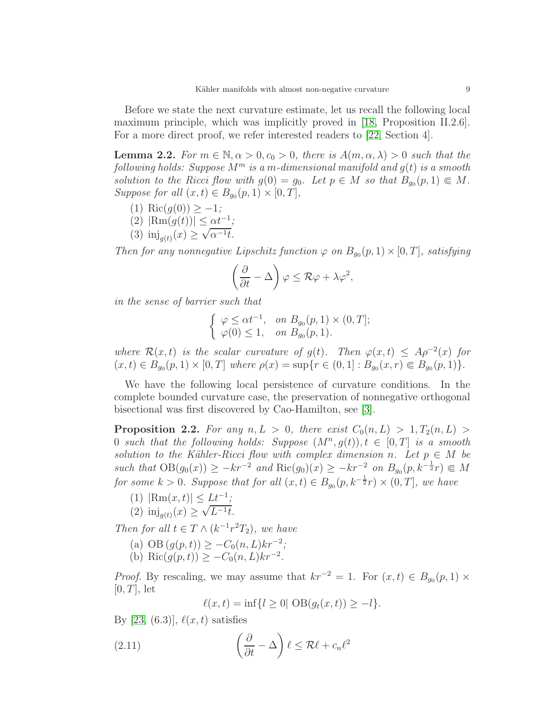Before we state the next curvature estimate, let us recall the following local maximum principle, which was implicitly proved in [\[18,](#page-30-0) Proposition II.2.6]. For a more direct proof, we refer interested readers to [\[22,](#page-30-15) Section 4].

<span id="page-8-0"></span>**Lemma 2.2.** For  $m \in \mathbb{N}, \alpha > 0, c_0 > 0$ , there is  $A(m, \alpha, \lambda) > 0$  such that the following holds: Suppose  $M^m$  is a m-dimensional manifold and  $g(t)$  is a smooth solution to the Ricci flow with  $g(0) = g_0$ . Let  $p \in M$  so that  $B_{g_0}(p, 1) \in M$ . Suppose for all  $(x,t) \in B_{g_0}(p,1) \times [0,T]$ ,

- (1) Ric $(g(0)) \geq -1;$
- (2)  $|\text{Rm}(g(t))| \leq \alpha t^{-1}$ ;
- (3)  $\text{inj}_{g(t)}(x) \ge \sqrt{\alpha^{-1}t}$ .

Then for any nonnegative Lipschitz function  $\varphi$  on  $B_{g_0}(p,1) \times [0,T]$ , satisfying

$$
\left(\frac{\partial}{\partial t} - \Delta\right)\varphi \leq \mathcal{R}\varphi + \lambda\varphi^2,
$$

in the sense of barrier such that

$$
\begin{cases} \varphi \leq \alpha t^{-1}, & \text{on } B_{g_0}(p,1) \times (0,T]; \\ \varphi(0) \leq 1, & \text{on } B_{g_0}(p,1). \end{cases}
$$

where  $\mathcal{R}(x,t)$  is the scalar curvature of  $g(t)$ . Then  $\varphi(x,t) \leq A\rho^{-2}(x)$  for  $(x,t) \in B_{g_0}(p,1) \times [0,T]$  where  $\rho(x) = \sup\{r \in (0,1] : B_{g_0}(x,r) \in B_{g_0}(p,1)\}.$ 

We have the following local persistence of curvature conditions. In the complete bounded curvature case, the preservation of nonnegative orthogonal bisectional was first discovered by Cao-Hamilton, see [\[3\]](#page-29-8).

<span id="page-8-1"></span>**Proposition 2.2.** For any  $n, L > 0$ , there exist  $C_0(n, L) > 1, T_2(n, L) >$ 0 such that the following holds: Suppose  $(M^n, g(t)), t \in [0, T]$  is a smooth solution to the Kähler-Ricci flow with complex dimension n. Let  $p \in M$  be such that  $OB(g_0(x)) \ge -kr^{-2}$  and  $\text{Ric}(g_0)(x) \ge -kr^{-2}$  on  $B_{g_0}(p, k^{-\frac{1}{2}}r) \subseteq M$ for some  $k > 0$ . Suppose that for all  $(x, t) \in B_{g_0}(p, k^{-\frac{1}{2}}r) \times (0, T]$ , we have

- (1)  $|\text{Rm}(x,t)| \leq \underline{Lt^{-1}};$
- (2)  $\text{inj}_{g(t)}(x) \ge \sqrt{L^{-1}t}$ .

Then for all  $t \in T \wedge (k^{-1}r^2T_2)$ , we have

- (a) OB  $(g(p, t)) \geq -C_0(n, L)kr^{-2}$ ;
- (b) Ric $(g(p, t)) \geq -C_0(n, L)kr^{-2}$ .

*Proof.* By rescaling, we may assume that  $kr^{-2} = 1$ . For  $(x, t) \in B_{g_0}(p, 1) \times$  $[0, T]$ , let

$$
\ell(x,t) = \inf\{l \ge 0 | \text{ OB}(g_t(x,t)) \ge -l\}.
$$

By [\[23,](#page-30-16)  $(6.3)$ ],  $\ell(x, t)$  satisfies

(2.11) 
$$
\left(\frac{\partial}{\partial t} - \Delta\right)\ell \leq \mathcal{R}\ell + c_n\ell^2
$$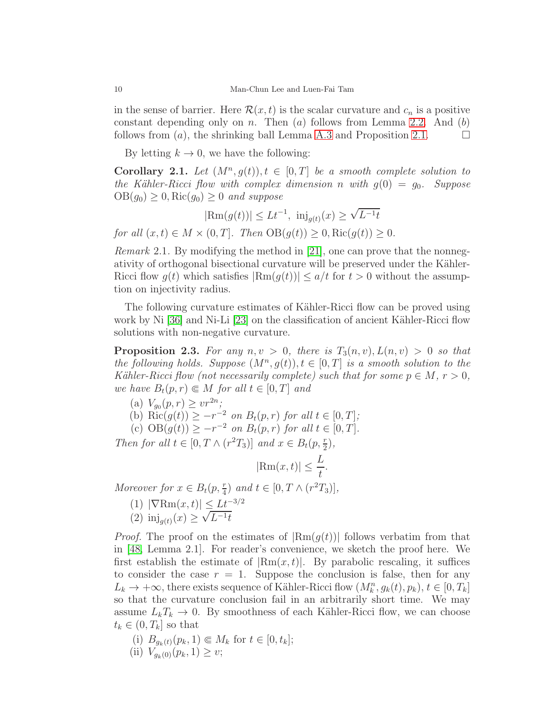in the sense of barrier. Here  $\mathcal{R}(x,t)$  is the scalar curvature and  $c_n$  is a positive constant depending only on  $n$ . Then  $(a)$  follows from Lemma [2.2.](#page-8-0) And  $(b)$ follows from  $(a)$ , the shrinking ball Lemma [A.3](#page-27-0) and Proposition [2.1.](#page-5-2)  $\Box$ 

By letting  $k \to 0$ , we have the following:

<span id="page-9-1"></span>Corollary 2.1. Let  $(M^n, g(t)), t \in [0, T]$  be a smooth complete solution to the Kähler-Ricci flow with complex dimension n with  $g(0) = g_0$ . Suppose  $OB(g_0) \geq 0$ , Ric $(g_0) \geq 0$  and suppose

 $|\text{Rm}(g(t))| \leq L t^{-1}$ ,  $\text{inj}_{g(t)}(x) \geq \sqrt{L^{-1}t}$ 

for all  $(x, t) \in M \times (0, T]$ . Then  $OB(g(t)) \geq 0$ , Ric $(g(t)) \geq 0$ .

Remark 2.1. By modifying the method in [\[21\]](#page-30-8), one can prove that the nonnegativity of orthogonal bisectional curvature will be preserved under the Kähler-Ricci flow  $g(t)$  which satisfies  $|\text{Rm}(g(t))| \leq a/t$  for  $t > 0$  without the assumption on injectivity radius.

The following curvature estimates of Kähler-Ricci flow can be proved using work by Ni [\[36\]](#page-30-17) and Ni-Li [\[23\]](#page-30-16) on the classification of ancient Kähler-Ricci flow solutions with non-negative curvature.

<span id="page-9-0"></span>**Proposition 2.3.** For any  $n, v > 0$ , there is  $T_3(n, v)$ ,  $L(n, v) > 0$  so that the following holds. Suppose  $(M^n, g(t)), t \in [0, T]$  is a smooth solution to the Kähler-Ricci flow (not necessarily complete) such that for some  $p \in M$ ,  $r > 0$ , we have  $B_t(p,r) \in M$  for all  $t \in [0,T]$  and

- (a)  $V_{g_0}(p,r) \geq v r^{2n}$ ;
- (b)  $\text{Ric}(g(t)) \ge -r^{-2}$  on  $B_t(p,r)$  for all  $t \in [0,T]$ ;
- (c)  $OB(g(t)) \geq -r^{-2}$  on  $B_t(p,r)$  for all  $t \in [0,T]$ .

Then for all  $t \in [0, T \wedge (r^2T_3)]$  and  $x \in B_t(p, \frac{r}{2}),$ 

 $|\text{Rm}(x,t)| \leq \frac{L}{t}$ .

Moreover for  $x \in B_t(p, \frac{r}{4})$  and  $t \in [0, T \wedge (r^2T_3)],$ 

- (1)  $|\nabla \text{Rm}(x, t)| \leq L t^{-3/2}$
- (2)  $\text{inj}_{g(t)}(x) \ge \sqrt{L^{-1}t}$

*Proof.* The proof on the estimates of  $|\text{Rm}(g(t))|$  follows verbatim from that in [\[48,](#page-31-3) Lemma 2.1]. For reader's convenience, we sketch the proof here. We first establish the estimate of  $|\text{Rm}(x,t)|$ . By parabolic rescaling, it suffices to consider the case  $r = 1$ . Suppose the conclusion is false, then for any  $L_k \to +\infty$ , there exists sequence of Kähler-Ricci flow  $(M_k^n, g_k(t), p_k)$ ,  $t \in [0, T_k]$ so that the curvature conclusion fail in an arbitrarily short time. We may assume  $L_kT_k \to 0$ . By smoothness of each Kähler-Ricci flow, we can choose  $t_k \in (0, T_k]$  so that

(i) 
$$
B_{g_k(t)}(p_k, 1) \in M_k
$$
 for  $t \in [0, t_k]$ ;  
(ii)  $V_{(k)}(p_k, 1) > w$ :

(ii)  $V_{g_k(0)}(p_k, 1) \geq v;$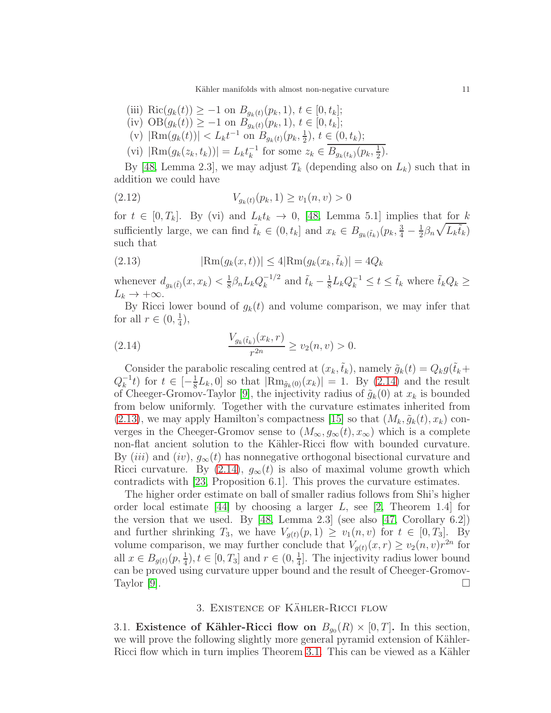Kähler manifolds with almost non-negative curvature 11

- (iii) Ric $(g_k(t)) \geq -1$  on  $B_{g_k(t)}(p_k, 1), t \in [0, t_k];$
- (iv)  $OB(g_k(t)) \ge -1$  on  $B_{g_k(t)}(p_k, 1), t \in [0, t_k];$
- (v)  $|\text{Rm}(g_k(t))| < L_k t^{-1}$  on  $B_{g_k(t)}(p_k, \frac{1}{2})$  $(\frac{1}{2}), t \in (0, t_k);$
- (vi)  $|\text{Rm}(g_k(z_k, t_k))| = L_k t_k^{-1}$  $\frac{-1}{k}$  for some  $z_k \in B_{g_k(t_k)}(p_k, \frac{1}{2})$  $(\frac{1}{2})$ .

By [\[48,](#page-31-3) Lemma 2.3], we may adjust  $T_k$  (depending also on  $L_k$ ) such that in addition we could have

$$
(2.12) \t\t V_{g_k(t)}(p_k, 1) \ge v_1(n, v) > 0
$$

for  $t \in [0, T_k]$ . By (vi) and  $L_k t_k \to 0$ , [\[48,](#page-31-3) Lemma 5.1] implies that for k sufficiently large, we can find  $\tilde{t}_k \in (0, t_k]$  and  $x_k \in B_{g_k(\tilde{t}_k)}(p_k, \frac{3}{4} - \frac{1}{2})$  $\frac{1}{2}\beta_n\sqrt{L_k\tilde{t}_k}$ such that

<span id="page-10-1"></span>(2.13) 
$$
|\text{Rm}(g_k(x,t))| \le 4|\text{Rm}(g_k(x_k, \tilde{t}_k)| = 4Q_k
$$

whenever  $d_{g_k(\tilde{t})}(x, x_k) < \frac{1}{8}$  $\frac{1}{8}\beta_n L_k Q_k^{-1/2}$  $\tilde{t}_k - \frac{1}{8}$  and  $\tilde{t}_k - \frac{1}{8}$  $\frac{1}{8}L_kQ_k^{-1} \leq t \leq \tilde{t}_k$  where  $\tilde{t}_kQ_k \geq$  $L_k \to +\infty$ .

By Ricci lower bound of  $g_k(t)$  and volume comparison, we may infer that for all  $r \in (0, \frac{1}{4})$  $(\frac{1}{4}),$ 

<span id="page-10-0"></span>(2.14) 
$$
\frac{V_{g_k(\tilde{t}_k)}(x_k, r)}{r^{2n}} \ge v_2(n, v) > 0.
$$

Consider the parabolic rescaling centred at  $(x_k, \tilde{t}_k)$ , namely  $\tilde{g}_k(t) = Q_k g(\tilde{t}_k +$  $Q_k^{-1}$  $\frac{1}{k}$  for  $t \in \left[-\frac{1}{8}\right]$  $\frac{1}{8}L_k$ , 0 so that  $|\text{Rm}_{\tilde{g}_k(0)}(x_k)| = 1$ . By [\(2.14\)](#page-10-0) and the result of Cheeger-Gromov-Taylor [\[9\]](#page-29-9), the injectivity radius of  $\tilde{g}_k(0)$  at  $x_k$  is bounded from below uniformly. Together with the curvature estimates inherited from  $(2.13)$ , we may apply Hamilton's compactness [\[15\]](#page-29-10) so that  $(M_k, \tilde{g}_k(t), x_k)$  converges in the Cheeger-Gromov sense to  $(M_{\infty}, g_{\infty}(t), x_{\infty})$  which is a complete non-flat ancient solution to the Kähler-Ricci flow with bounded curvature. By (iii) and (iv),  $g_{\infty}(t)$  has nonnegative orthogonal bisectional curvature and Ricci curvature. By  $(2.14)$ ,  $g_{\infty}(t)$  is also of maximal volume growth which contradicts with [\[23,](#page-30-16) Proposition 6.1]. This proves the curvature estimates.

The higher order estimate on ball of smaller radius follows from Shi's higher order local estimate [\[44\]](#page-31-4) by choosing a larger  $L$ , see [\[2,](#page-29-7) Theorem 1.4] for the version that we used. By  $[48, \text{ Lemma } 2.3]$  (see also  $[47, \text{ Corollary } 6.2]$ ) and further shrinking  $T_3$ , we have  $V_{g(t)}(p,1) \ge v_1(n,v)$  for  $t \in [0,T_3]$ . By volume comparison, we may further conclude that  $V_{g(t)}(x, r) \ge v_2(n, v)r^{2n}$  for all  $x \in B_{g(t)}(p, \frac{1}{4}), t \in [0, T_3]$  and  $r \in (0, \frac{1}{4})$  $\frac{1}{4}$ . The injectivity radius lower bound can be proved using curvature upper bound and the result of Cheeger-Gromov-Taylor [\[9\]](#page-29-9).  $\Box$ 

# 3. EXISTENCE OF KÄHLER-RICCI FLOW

3.1. Existence of Kähler-Ricci flow on  $B_{g_0}(R) \times [0,T]$ . In this section, we will prove the following slightly more general pyramid extension of Kähler-Ricci flow which in turn implies Theorem [3.1.](#page-16-0) This can be viewed as a Kähler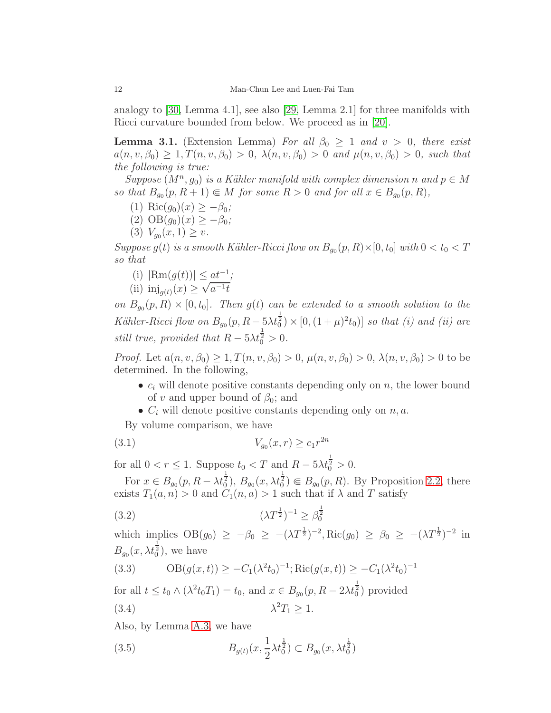analogy to [\[30,](#page-30-3) Lemma 4.1], see also [\[29,](#page-30-2) Lemma 2.1] for three manifolds with Ricci curvature bounded from below. We proceed as in [\[20\]](#page-30-10).

<span id="page-11-5"></span>**Lemma 3.1.** (Extension Lemma) For all  $\beta_0 \geq 1$  and  $v > 0$ , there exist  $a(n, v, \beta_0) \geq 1, T(n, v, \beta_0) > 0, \ \lambda(n, v, \beta_0) > 0$  and  $\mu(n, v, \beta_0) > 0$ , such that the following is true:

Suppose  $(M^n, g_0)$  is a Kähler manifold with complex dimension n and  $p \in M$ so that  $B_{g_0}(p, R+1) \in M$  for some  $R > 0$  and for all  $x \in B_{g_0}(p, R)$ ,

- (1) Ric $(g_0)(x) \geq -\beta_0$ ;
- (2)  $OB(q_0)(x) > -\beta_0;$
- (3)  $V_{g_0}(x,1) \geq v$ .

Suppose  $g(t)$  is a smooth Kähler-Ricci flow on  $B_{g_0}(p, R) \times [0, t_0]$  with  $0 < t_0 < T$ so that

(i) 
$$
|\text{Rm}(g(t))| \leq \underline{at^{-1}};
$$

(ii) 
$$
\text{inj}_{g(t)}(x) \ge \sqrt{a^{-1}t}
$$

on  $B_{g_0}(p, R) \times [0, t_0]$ . Then  $g(t)$  can be extended to a smooth solution to the Kähler-Ricci flow on  $B_{g_0}(p, R - 5\lambda t_0^2) \times [0, (1 + \mu)^2 t_0)]$  so that (i) and (ii) are still true, provided that  $R - 5\lambda t_0^{\frac{1}{2}} > 0$ .

*Proof.* Let  $a(n, v, \beta_0) > 1, T(n, v, \beta_0) > 0, \mu(n, v, \beta_0) > 0, \lambda(n, v, \beta_0) > 0$  to be determined. In the following,

- $c_i$  will denote positive constants depending only on n, the lower bound of v and upper bound of  $\beta_0$ ; and
- <span id="page-11-1"></span>•  $C_i$  will denote positive constants depending only on  $n, a$ .

By volume comparison, we have

(3.1) 
$$
V_{g_0}(x,r) \ge c_1 r^{2n}
$$

for all  $0 < r \leq 1$ . Suppose  $t_0 < T$  and  $R - 5\lambda t_0^{\frac{1}{2}} > 0$ .

For  $x \in B_{g_0}(p, R - \lambda t_0^{\frac{1}{2}}), B_{g_0}(x, \lambda t_0^{\frac{1}{2}}) \in B_{g_0}(p, R)$ . By Proposition [2.2,](#page-8-1) there exists  $T_1(a, n) > 0$  and  $C_1(n, a) > 1$  such that if  $\lambda$  and  $T$  satisfy

<span id="page-11-3"></span>(3.2) 
$$
(\lambda T^{\frac{1}{2}})^{-1} \ge \beta_0^{\frac{1}{2}}
$$

which implies  $OB(g_0) \ge -\beta_0 \ge -(\lambda T^{\frac{1}{2}})^{-2}$ , Ric $(g_0) \ge \beta_0 \ge -(\lambda T^{\frac{1}{2}})^{-2}$  in  $B_{g_0}(x, \lambda t_0^{\frac{1}{2}}),$  we have

<span id="page-11-0"></span>(3.3) 
$$
\text{OB}(g(x,t)) \ge -C_1(\lambda^2 t_0)^{-1}; \text{Ric}(g(x,t)) \ge -C_1(\lambda^2 t_0)^{-1}
$$

for all  $t \le t_0 \wedge (\lambda^2 t_0 T_1) = t_0$ , and  $x \in B_{g_0}(p, R - 2\lambda t_0^{\frac{1}{2}})$  provided  $\sqrt{2T}$   $\sim$  1

<span id="page-11-4"></span>
$$
\lambda^2 T_1 \ge 1.
$$

Also, by Lemma [A.3,](#page-27-0) we have

<span id="page-11-2"></span>(3.5) 
$$
B_{g(t)}(x, \frac{1}{2}\lambda t_0^{\frac{1}{2}}) \subset B_{g_0}(x, \lambda t_0^{\frac{1}{2}})
$$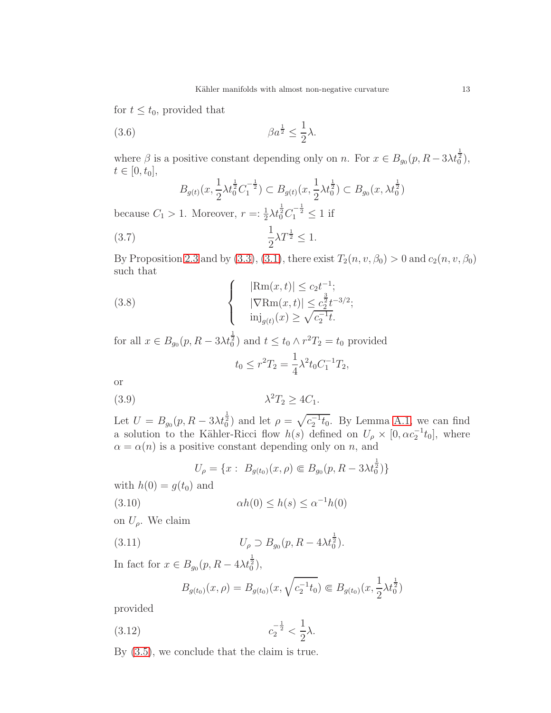for  $t \leq t_0$ , provided that

(3.6) 
$$
\beta a^{\frac{1}{2}} \leq \frac{1}{2} \lambda.
$$

where  $\beta$  is a positive constant depending only on n. For  $x \in B_{g_0}(p, R-3\lambda t_0^{\frac{1}{2}})$ ,  $t \in [0, t_0],$ 

<span id="page-12-4"></span><span id="page-12-3"></span>
$$
B_{g(t)}(x, \frac{1}{2}\lambda t_0^{\frac{1}{2}}C_1^{-\frac{1}{2}}) \subset B_{g(t)}(x, \frac{1}{2}\lambda t_0^{\frac{1}{2}}) \subset B_{g_0}(x, \lambda t_0^{\frac{1}{2}})
$$

because  $C_1 > 1$ . Moreover,  $r = \frac{1}{2} \lambda t_0^{\frac{1}{2}} C_1^{-\frac{1}{2}} \le 1$  if

$$
\frac{1}{2}\lambda T^{\frac{1}{2}} \le 1.
$$

By Proposition [2.3](#page-9-0) and by [\(3.3\)](#page-11-0), [\(3.1\)](#page-11-1), there exist  $T_2(n, v, \beta_0) > 0$  and  $c_2(n, v, \beta_0)$ such that

(3.8) 
$$
\begin{cases}\n|\text{Rm}(x,t)| \leq c_2 t^{-1}; \\
|\nabla \text{Rm}(x,t)| \leq c_2^{\frac{3}{2}} t^{-3/2}; \\
\text{inj}_{g(t)}(x) \geq \sqrt{c_2^{-1}t}.\n\end{cases}
$$

for all  $x \in B_{g_0}(p, R - 3\lambda t_0^{\frac{1}{2}})$  and  $t \le t_0 \wedge r^2T_2 = t_0$  provided

<span id="page-12-5"></span><span id="page-12-1"></span>
$$
t_0 \le r^2 T_2 = \frac{1}{4} \lambda^2 t_0 C_1^{-1} T_2,
$$

or

$$
\lambda^2 T_2 \ge 4C_1.
$$

Let  $U = B_{g_0}(p, R - 3\lambda t_0^{\frac{1}{2}})$  and let  $\rho = \sqrt{c_2^{-1}t_0}$ . By Lemma [A.1,](#page-26-0) we can find a solution to the Kähler-Ricci flow  $h(s)$  defined on  $U_\rho \times [0, \alpha c_2^{-1} t_0]$ , where  $\alpha = \alpha(n)$  is a positive constant depending only on n, and

<span id="page-12-2"></span>
$$
U_{\rho} = \{x : B_{g(t_0)}(x,\rho) \in B_{g_0}(p, R - 3\lambda t_0^{\frac{1}{2}})\}\
$$

with  $h(0) = g(t_0)$  and

(3.10) 
$$
\alpha h(0) \le h(s) \le \alpha^{-1} h(0)
$$

on  $U_{\rho}$ . We claim

(3.11) 
$$
U_{\rho} \supset B_{g_0}(p, R - 4\lambda t_0^{\frac{1}{2}}).
$$

In fact for  $x \in B_{g_0}(p, R - 4\lambda t_0^{\frac{1}{2}})$ ,

<span id="page-12-0"></span>
$$
B_{g(t_0)}(x,\rho) = B_{g(t_0)}(x,\sqrt{c_2^{-1}t_0}) \in B_{g(t_0)}(x,\frac{1}{2}\lambda t_0^{\frac{1}{2}})
$$

provided

(3.12) 
$$
c_2^{-\frac{1}{2}} < \frac{1}{2}\lambda.
$$

By [\(3.5\)](#page-11-2), we conclude that the claim is true.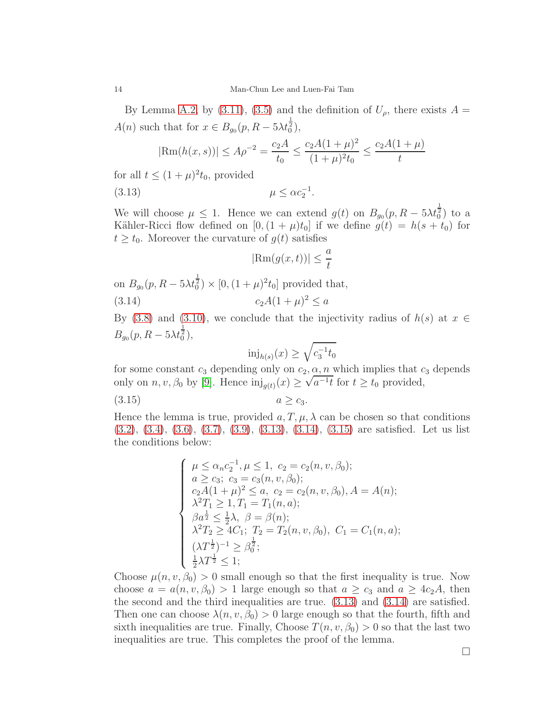By Lemma [A.2,](#page-27-1) by [\(3.11\)](#page-12-0), [\(3.5\)](#page-11-2) and the definition of  $U_{\rho}$ , there exists  $A =$  $A(n)$  such that for  $x \in B_{g_0}(p, R - 5\lambda t_0^{\frac{1}{2}})$ ,

$$
|\text{Rm}(h(x,s))| \le A\rho^{-2} = \frac{c_2 A}{t_0} \le \frac{c_2 A (1+\mu)^2}{(1+\mu)^2 t_0} \le \frac{c_2 A (1+\mu)}{t}
$$

for all  $t \leq (1 + \mu)^2 t_0$ , provided

$$
\mu \leq \alpha c_2^{-1}.
$$

We will choose  $\mu \leq 1$ . Hence we can extend  $g(t)$  on  $B_{g_0}(p, R - 5\lambda t_0^{\frac{1}{2}})$  to a Kähler-Ricci flow defined on  $[0,(1+\mu)t_0]$  if we define  $g(t) = h(s+t_0)$  for  $t \geq t_0$ . Moreover the curvature of  $q(t)$  satisfies

<span id="page-13-1"></span><span id="page-13-0"></span>
$$
|\text{Rm}(g(x,t))| \le \frac{a}{t}
$$

on  $B_{g_0}(p, R - 5\lambda t_0^{\frac{1}{2}}) \times [0, (1 + \mu)^2 t_0]$  provided that, (3.14)  $c_2A(1+\mu)^2 \le a$ 

By [\(3.8\)](#page-12-1) and [\(3.10\)](#page-12-2), we conclude that the injectivity radius of  $h(s)$  at  $x \in$  $B_{g_0}(p, R - 5\lambda t_0^{\frac{1}{2}}),$ 

<span id="page-13-2"></span>
$$
\text{inj}_{h(s)}(x) \ge \sqrt{c_3^{-1} t_0}
$$

for some constant  $c_3$  depending only on  $c_2, \alpha, n$  which implies that  $c_3$  depends only on  $n, v, \beta_0$  by [\[9\]](#page-29-9). Hence  $\text{inj}_{g(t)}(x) \ge \sqrt{a^{-1}t}$  for  $t \ge t_0$  provided,

$$
(3.15) \t\t a \ge c_3.
$$

Hence the lemma is true, provided  $a, T, \mu, \lambda$  can be chosen so that conditions [\(3.2\)](#page-11-3), [\(3.4\)](#page-11-4), [\(3.6\)](#page-12-3), [\(3.7\)](#page-12-4), [\(3.9\)](#page-12-5), [\(3.13\)](#page-13-0), [\(3.14\)](#page-13-1), [\(3.15\)](#page-13-2) are satisfied. Let us list the conditions below:

$$
\begin{cases}\n\mu \le \alpha_n c_2^{-1}, \mu \le 1, \ c_2 = c_2(n, v, \beta_0); \\
a \ge c_3; \ c_3 = c_3(n, v, \beta_0); \\
c_2 A (1 + \mu)^2 \le a, \ c_2 = c_2(n, v, \beta_0), A = A(n); \\
\lambda^2 T_1 \ge 1, T_1 = T_1(n, a); \\
\beta a^{\frac{1}{2}} \le \frac{1}{2} \lambda, \ \beta = \beta(n); \\
\lambda^2 T_2 \ge 4C_1; \ T_2 = T_2(n, v, \beta_0), \ C_1 = C_1(n, a); \\
(\lambda T^{\frac{1}{2}})^{-1} \ge \beta_0^{\frac{1}{2}}; \\
\frac{1}{2} \lambda T^{\frac{1}{2}} \le 1;\n\end{cases}
$$

Choose  $\mu(n, v, \beta_0) > 0$  small enough so that the first inequality is true. Now choose  $a = a(n, v, \beta_0) > 1$  large enough so that  $a \geq c_3$  and  $a \geq 4c_2A$ , then the second and the third inequalities are true. [\(3.13\)](#page-13-0) and [\(3.14\)](#page-13-1) are satisfied. Then one can choose  $\lambda(n, v, \beta_0) > 0$  large enough so that the fourth, fifth and sixth inequalities are true. Finally, Choose  $T(n, v, \beta_0) > 0$  so that the last two inequalities are true. This completes the proof of the lemma.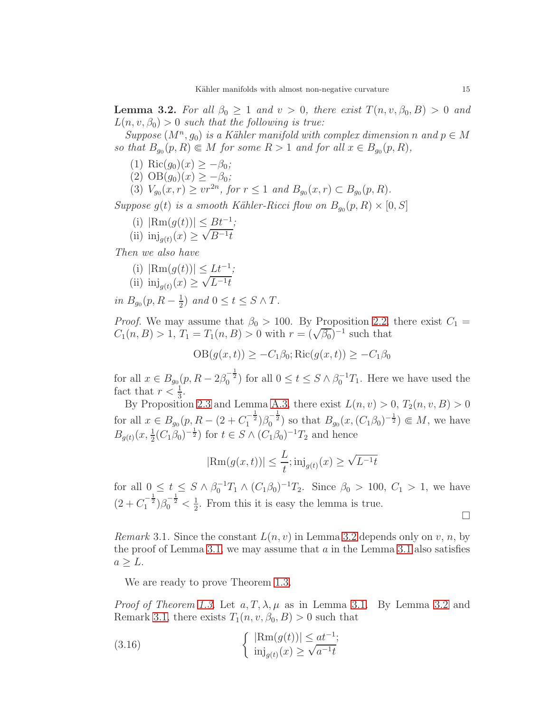<span id="page-14-0"></span>**Lemma 3.2.** For all  $\beta_0 \geq 1$  and  $v > 0$ , there exist  $T(n, v, \beta_0, B) > 0$  and  $L(n, v, \beta_0) > 0$  such that the following is true:

Suppose  $(M^n, g_0)$  is a Kähler manifold with complex dimension n and  $p \in M$ so that  $B_{g_0}(p, R) \in M$  for some  $R > 1$  and for all  $x \in B_{g_0}(p, R)$ ,

- (1) Ric $(g_0)(x) \geq -\beta_0$ ;
- (2)  $OB(g_0)(x) \ge -\beta_0;$
- (3)  $V_{g_0}(x,r) \geq vr^{2n}$ , for  $r \leq 1$  and  $B_{g_0}(x,r) \subset B_{g_0}(p,R)$ .

Suppose  $g(t)$  is a smooth Kähler-Ricci flow on  $B_{g_0}(p, R) \times [0, S]$ 

- (i)  $|\text{Rm}(g(t))| \leq Bt^{-1}$ ;
- (ii)  $\text{inj}_{g(t)}(x) \ge \sqrt{B^{-1}t}$

Then we also have

(i) 
$$
|\text{Rm}(g(t))| \leq \underline{Lt^{-1}};
$$

(ii) 
$$
\text{inj}_{g(t)}(x) \ge \sqrt{L^{-1}t}
$$

in  $B_{g_0}(p, R-\frac{1}{2})$  $(\frac{1}{2})$  and  $0 \leq t \leq S \wedge T$ .

*Proof.* We may assume that  $\beta_0 > 100$ . By Proposition [2.2,](#page-8-1) there exist  $C_1 =$  $C_1(n, B) > 1, T_1 = T_1(n, B) > 0$  with  $r = (\sqrt{\beta_0})^{-1}$  such that

$$
OB(g(x,t)) \geq -C_1\beta_0; \text{Ric}(g(x,t)) \geq -C_1\beta_0
$$

for all  $x \in B_{g_0}(p, R - 2\beta_0^{-\frac{1}{2}})$  for all  $0 \le t \le S \wedge \beta_0^{-1}T_1$ . Here we have used the fact that  $r < \frac{1}{3}$ .

By Proposition [2.3](#page-9-0) and Lemma [A.3,](#page-27-0) there exist  $L(n, v) > 0$ ,  $T_2(n, v, B) > 0$ for all  $x \in B_{g_0}(p, R - (2 + C_1^{-\frac{1}{2}})\beta_0^{-\frac{1}{2}})$  so that  $B_{g_0}(x, (C_1\beta_0)^{-\frac{1}{2}}) \subseteq M$ , we have  $B_{g(t)}(x, \frac{1}{2}(C_1\beta_0)^{-\frac{1}{2}})$  for  $t \in S \wedge (C_1\beta_0)^{-1}T_2$  and hence

$$
|\text{Rm}(g(x,t))| \le \frac{L}{t}; \text{inj}_{g(t)}(x) \ge \sqrt{L^{-1}t}
$$

for all  $0 \le t \le S \wedge \beta_0^{-1} T_1 \wedge (C_1 \beta_0)^{-1} T_2$ . Since  $\beta_0 > 100$ ,  $C_1 > 1$ , we have  $(2+C_1^{-\frac{1}{2}})\beta_0^{-\frac{1}{2}} < \frac{1}{2}$  $\frac{1}{2}$ . From this it is easy the lemma is true.

 $\Box$ 

<span id="page-14-1"></span>*Remark* 3.1. Since the constant  $L(n, v)$  in Lemma [3.2](#page-14-0) depends only on v, n, by the proof of Lemma [3.1,](#page-11-5) we may assume that  $a$  in the Lemma [3.1](#page-11-5) also satisfies  $a \geq L$ .

We are ready to prove Theorem [1.3.](#page-3-1)

*Proof of Theorem [1.3.](#page-3-1)* Let  $a, T, \lambda, \mu$  as in Lemma [3.1.](#page-11-5) By Lemma [3.2](#page-14-0) and Remark [3.1,](#page-14-1) there exists  $T_1(n, v, \beta_0, B) > 0$  such that

(3.16) 
$$
\begin{cases} |\text{Rm}(g(t))| \leq at^{-1};\\ \text{inj}_{g(t)}(x) \geq \sqrt{a^{-1}t} \end{cases}
$$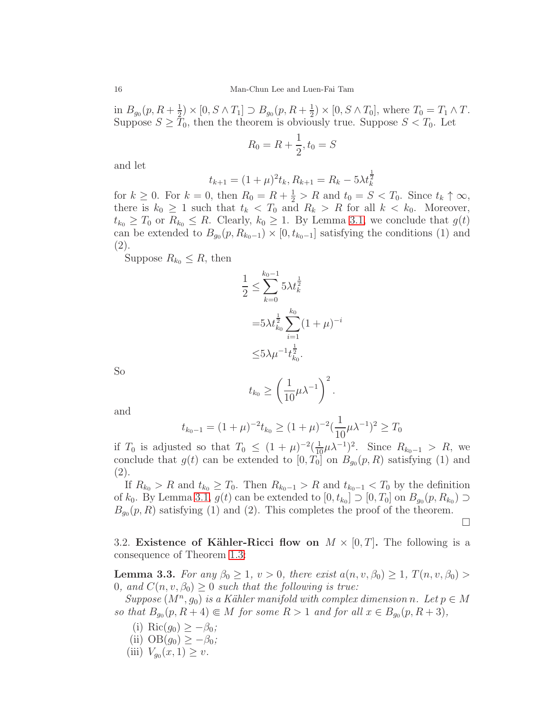in  $B_{g_0}(p, R+\frac{1}{2})$  $(\frac{1}{2}) \times [0, S \wedge T_1] \supset B_{g_0}(p, R + \frac{1}{2})$  $(\frac{1}{2}) \times [0, S \wedge T_0],$  where  $T_0 = T_1 \wedge T$ . Suppose  $S \geq T_0$ , then the theorem is obviously true. Suppose  $S < T_0$ . Let

$$
R_0 = R + \frac{1}{2}, t_0 = S
$$

and let

$$
t_{k+1} = (1+\mu)^2 t_k, R_{k+1} = R_k - 5\lambda t_k^{\frac{1}{2}}
$$

for  $k \geq 0$ . For  $k = 0$ , then  $R_0 = R + \frac{1}{2} > R$  and  $t_0 = S < T_0$ . Since  $t_k \uparrow \infty$ , there is  $k_0 \geq 1$  such that  $t_k < T_0$  and  $R_k > R$  for all  $k < k_0$ . Moreover,  $t_{k_0} \geq T_0$  or  $R_{k_0} \leq R$ . Clearly,  $k_0 \geq 1$ . By Lemma [3.1,](#page-11-5) we conclude that  $g(t)$ can be extended to  $B_{g_0}(p, R_{k_0-1}) \times [0, t_{k_0-1}]$  satisfying the conditions (1) and (2).

Suppose  $R_{k_0} \leq R$ , then

$$
\frac{1}{2} \le \sum_{k=0}^{k_0 - 1} 5\lambda t_k^{\frac{1}{2}}
$$

$$
= 5\lambda t_{k_0}^{\frac{1}{2}} \sum_{i=1}^{k_0} (1 + \mu)^{-i}
$$

$$
\le 5\lambda \mu^{-1} t_{k_0}^{\frac{1}{2}}.
$$

So

$$
t_{k_0} \ge \left(\frac{1}{10}\mu\lambda^{-1}\right)^2.
$$

and

$$
t_{k_0-1} = (1+\mu)^{-2} t_{k_0} \ge (1+\mu)^{-2} (\frac{1}{10}\mu\lambda^{-1})^2 \ge T_0
$$

if  $T_0$  is adjusted so that  $T_0 \n\t\leq (1+\mu)^{-2} \left(\frac{1}{10}\mu\lambda^{-1}\right)^2$ . Since  $R_{k_0-1} > R$ , we conclude that  $g(t)$  can be extended to  $[0, T_0]$  on  $B_{g_0}(p, R)$  satisfying (1) and (2).

If  $R_{k_0} > R$  and  $t_{k_0} \geq T_0$ . Then  $R_{k_0-1} > R$  and  $t_{k_0-1} < T_0$  by the definition of  $k_0$ . By Lemma [3.1,](#page-11-5)  $g(t)$  can be extended to  $[0, t_{k_0}] \supset [0, T_0]$  on  $B_{g_0}(p, R_{k_0}) \supset$  $B_{g_0}(p, R)$  satisfying (1) and (2). This completes the proof of the theorem.

□

3.2. Existence of Kähler-Ricci flow on  $M \times [0, T]$ . The following is a consequence of Theorem [1.3:](#page-3-1)

<span id="page-15-0"></span>**Lemma 3.3.** For any  $\beta_0 \geq 1$ ,  $v > 0$ , there exist  $a(n, v, \beta_0) \geq 1$ ,  $T(n, v, \beta_0) >$ 0, and  $C(n, v, \beta_0) \geq 0$  such that the following is true:

 $Suppose (M<sup>n</sup>, g<sub>0</sub>)$  is a Kähler manifold with complex dimension n. Let  $p \in M$ so that  $B_{g_0}(p, R+4) \in M$  for some  $R > 1$  and for all  $x \in B_{g_0}(p, R+3)$ ,

- (i) Ric $(g_0) \geq -\beta_0$ ;
- (ii)  $OB(g_0) \geq -\beta_0;$
- (iii)  $V_{g_0}(x,1) \geq v$ .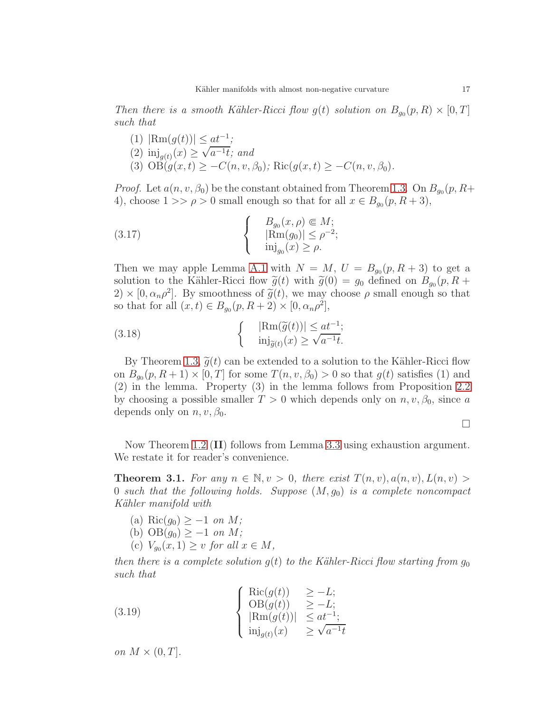Then there is a smooth Kähler-Ricci flow  $g(t)$  solution on  $B_{g_0}(p, R) \times [0, T]$ such that

(1)  $|\text{Rm}(g(t))| \leq \underline{at^{-1}};$ (2)  $\text{inj}_{g(t)}(x) \ge \sqrt{a^{-1}t}$ ; and (3)  $\overrightarrow{OB}(g(x,t)) \geq -C(n, v, \beta_0);$  Ric $(g(x,t)) \geq -C(n, v, \beta_0).$ 

*Proof.* Let  $a(n, v, \beta_0)$  be the constant obtained from Theorem [1.3.](#page-3-1) On  $B_{g_0}(p, R+$ 4), choose  $1 >> \rho > 0$  small enough so that for all  $x \in B_{g_0}(p, R+3)$ ,

(3.17) 
$$
\begin{cases}\nB_{g_0}(x,\rho) \in M; \\
|\text{Rm}(g_0)| \le \rho^{-2}; \\
\text{inj}_{g_0}(x) \ge \rho.\n\end{cases}
$$

Then we may apple Lemma [A.1](#page-26-0) with  $N = M$ ,  $U = B_{g_0}(p, R + 3)$  to get a solution to the Kähler-Ricci flow  $\tilde{g}(t)$  with  $\tilde{g}(0) = g_0$  defined on  $B_{g_0}(p, R +$  $2) \times [0, \alpha_n \rho^2]$ . By smoothness of  $\tilde{g}(t)$ , we may choose  $\rho$  small enough so that so that for all  $(x, t) \in B_{g_0}(p, R+2) \times [0, \alpha_n \rho^2]$ ,

(3.18) 
$$
\begin{cases} |\text{Rm}(\tilde{g}(t))| \leq at^{-1};\\ \text{inj}_{\tilde{g}(t)}(x) \geq \sqrt{a^{-1}t}. \end{cases}
$$

By Theorem [1.3,](#page-3-1)  $\tilde{q}(t)$  can be extended to a solution to the Kähler-Ricci flow on  $B_{g_0}(p, R+1) \times [0, T]$  for some  $T(n, v, \beta_0) > 0$  so that  $g(t)$  satisfies (1) and (2) in the lemma. Property (3) in the lemma follows from Proposition [2.2](#page-8-1) by choosing a possible smaller  $T > 0$  which depends only on  $n, v, \beta_0$ , since a depends only on  $n, v, \beta_0$ .

 $\Box$ 

Now Theorem [1.2](#page-2-0) (II) follows from Lemma [3.3](#page-15-0) using exhaustion argument. We restate it for reader's convenience.

<span id="page-16-0"></span>**Theorem 3.1.** For any  $n \in \mathbb{N}, v > 0$ , there exist  $T(n, v), a(n, v), L(n, v) >$ 0 such that the following holds. Suppose  $(M, g_0)$  is a complete noncompact Kähler manifold with

- (a) Ric $(g_0) \geq -1$  on M;
- (b)  $OB(g_0) \geq -1$  on M;
- (c)  $V_{g_0}(x,1) \ge v$  for all  $x \in M$ ,

then there is a complete solution  $g(t)$  to the Kähler-Ricci flow starting from  $g_0$ such that

(3.19) 
$$
\begin{cases}\n\operatorname{Ric}(g(t)) & \geq -L; \\
\operatorname{OB}(g(t)) & \geq -L; \\
|\operatorname{Rm}(g(t))| & \leq at^{-1}; \\
\operatorname{inj}_{g(t)}(x) & \geq \sqrt{a^{-1}t}\n\end{cases}
$$

on  $M \times (0,T]$ .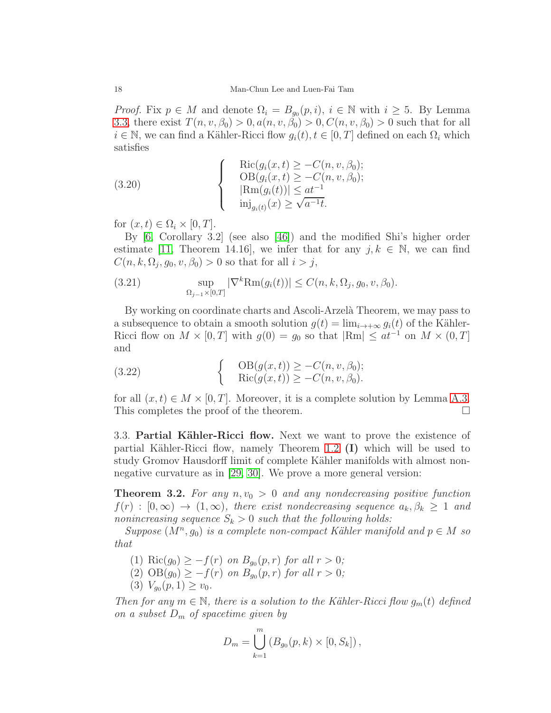*Proof.* Fix  $p \in M$  and denote  $\Omega_i = B_{g_0}(p, i)$ ,  $i \in \mathbb{N}$  with  $i \geq 5$ . By Lemma [3.3,](#page-15-0) there exist  $T(n, v, \beta_0) > 0, a(n, v, \beta_0) > 0, C(n, v, \beta_0) > 0$  such that for all  $i \in \mathbb{N}$ , we can find a Kähler-Ricci flow  $g_i(t)$ ,  $t \in [0, T]$  defined on each  $\Omega_i$  which satisfies

(3.20) 
$$
\begin{cases}\n\operatorname{Ric}(g_i(x,t) \geq -C(n, v, \beta_0); \\
\operatorname{OB}(g_i(x,t) \geq -C(n, v, \beta_0); \\
|\operatorname{Rm}(g_i(t))| \leq at^{-1} \\
\operatorname{inj}_{g_i(t)}(x) \geq \sqrt{a^{-1}t}.\n\end{cases}
$$

for  $(x, t) \in \Omega_i \times [0, T]$ .

By [\[6,](#page-29-11) Corollary 3.2] (see also [\[46\]](#page-31-6)) and the modified Shi's higher order estimate [\[11,](#page-29-12) Theorem 14.16], we infer that for any  $j, k \in \mathbb{N}$ , we can find  $C(n, k, \Omega_j, g_0, v, \beta_0) > 0$  so that for all  $i > j$ ,

(3.21) 
$$
\sup_{\Omega_{j-1}\times[0,T]} |\nabla^k \text{Rm}(g_i(t))| \le C(n,k,\Omega_j,g_0,v,\beta_0).
$$

By working on coordinate charts and Ascoli-Arzelà Theorem, we may pass to a subsequence to obtain a smooth solution  $g(t) = \lim_{i \to +\infty} g_i(t)$  of the Kähler-Ricci flow on  $M \times [0, T]$  with  $g(0) = g_0$  so that  $|\text{Rm}| \leq at^{-1}$  on  $M \times (0, T]$ and

(3.22) 
$$
\begin{cases} \text{OB}(g(x,t)) \geq -C(n, v, \beta_0); \\ \text{Ric}(g(x,t)) \geq -C(n, v, \beta_0). \end{cases}
$$

for all  $(x, t) \in M \times [0, T]$ . Moreover, it is a complete solution by Lemma [A.3.](#page-27-0)<br>This completes the proof of the theorem. This completes the proof of the theorem.

3.3. Partial Kähler-Ricci flow. Next we want to prove the existence of partial Kähler-Ricci flow, namely Theorem [1.2](#page-2-0)  $(I)$  which will be used to study Gromov Hausdorff limit of complete Kähler manifolds with almost nonnegative curvature as in [\[29,](#page-30-2) [30\]](#page-30-3). We prove a more general version:

<span id="page-17-0"></span>**Theorem 3.2.** For any  $n, v_0 > 0$  and any nondecreasing positive function  $f(r) : [0, \infty) \to (1, \infty)$ , there exist nondecreasing sequence  $a_k, \beta_k \geq 1$  and nonincreasing sequence  $S_k > 0$  such that the following holds:

 $Suppose (M<sup>n</sup>, g<sub>0</sub>)$  is a complete non-compact Kähler manifold and  $p \in M$  so that

- (1) Ric $(g_0) \geq -f(r)$  on  $B_{g_0}(p,r)$  for all  $r > 0$ ;
- $(2)$   $OB(g_0) \geq -f(r)$  on  $B_{g_0}(p,r)$  for all  $r > 0$ ;
- (3)  $V_{g_0}(p,1) \ge v_0$ .

Then for any  $m \in \mathbb{N}$ , there is a solution to the Kähler-Ricci flow  $g_m(t)$  defined on a subset  $D_m$  of spacetime given by

$$
D_m = \bigcup_{k=1}^m (B_{g_0}(p, k) \times [0, S_k]),
$$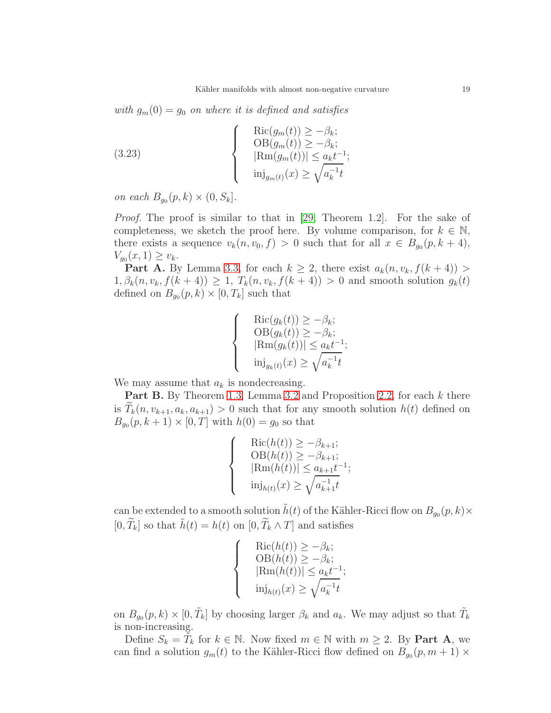with  $g_m(0) = g_0$  on where it is defined and satisfies

<span id="page-18-0"></span>(3.23) 
$$
\begin{cases}\n\operatorname{Ric}(g_m(t)) \ge -\beta_k; \\
\operatorname{OB}(g_m(t)) \ge -\beta_k; \\
|\operatorname{Rm}(g_m(t))| \le a_k t^{-1}; \\
\operatorname{inj}_{g_m(t)}(x) \ge \sqrt{a_k^{-1}t}\n\end{cases}
$$

on each  $B_{g_0}(p,k) \times (0, S_k]$ .

Proof. The proof is similar to that in [\[29,](#page-30-2) Theorem 1.2]. For the sake of completeness, we sketch the proof here. By volume comparison, for  $k \in \mathbb{N}$ , there exists a sequence  $v_k(n, v_0, f) > 0$  such that for all  $x \in B_{g_0}(p, k+4)$ ,  $V_{g_0}(x,1) \ge v_k.$ 

**Part A.** By Lemma [3.3,](#page-15-0) for each  $k \geq 2$ , there exist  $a_k(n, v_k, f(k+4))$  $1, \beta_k(n, v_k, f(k+4)) \geq 1$ ,  $T_k(n, v_k, f(k+4)) > 0$  and smooth solution  $g_k(t)$ defined on  $B_{g_0}(p,k) \times [0,T_k]$  such that

$$
\begin{cases}\n\operatorname{Ric}(g_k(t)) \geq -\beta_k; \\
\operatorname{OB}(g_k(t)) \geq -\beta_k; \\
|\operatorname{Rm}(g_k(t))| \leq a_k t^{-1}; \\
\operatorname{inj}_{g_k(t)}(x) \geq \sqrt{a_k^{-1}t}\n\end{cases}
$$

We may assume that  $a_k$  is nondecreasing.

Part B. By Theorem [1.3,](#page-3-1) Lemma [3.2](#page-14-0) and Proposition [2.2,](#page-8-1) for each k there is  $T_k(n, v_{k+1}, a_k, a_{k+1}) > 0$  such that for any smooth solution  $h(t)$  defined on  $B_{g_0}(p, k+1) \times [0, T]$  with  $h(0) = g_0$  so that

$$
\begin{cases}\n\operatorname{Ric}(h(t)) \ge -\beta_{k+1}; \\
\operatorname{OB}(h(t)) \ge -\beta_{k+1}; \\
|\operatorname{Rm}(h(t))| \le a_{k+1}t^{-1}; \\
\operatorname{inj}_{h(t)}(x) \ge \sqrt{a_{k+1}^{-1}t}\n\end{cases}
$$

can be extended to a smooth solution  $\tilde{h}(t)$  of the Kähler-Ricci flow on  $B_{g_0}(p, k) \times$  $[0, \widetilde{T}_k]$  so that  $\widetilde{h}(t) = h(t)$  on  $[0, \widetilde{T}_k \wedge T]$  and satisfies

$$
\begin{cases}\n\operatorname{Ric}(h(t)) \geq -\beta_k; \\
\operatorname{OB}(h(t)) \geq -\beta_k; \\
|\operatorname{Rm}(h(t))| \leq a_k t^{-1}; \\
\operatorname{inj}_{h(t)}(x) \geq \sqrt{a_k^{-1}t}\n\end{cases}
$$

on  $B_{g_0}(p, k) \times [0, \tilde{T}_k]$  by choosing larger  $\beta_k$  and  $a_k$ . We may adjust so that  $\tilde{T}_k$ is non-increasing.

Define  $S_k = \tilde{T}_k$  for  $k \in \mathbb{N}$ . Now fixed  $m \in \mathbb{N}$  with  $m \geq 2$ . By **Part A**, we can find a solution  $g_m(t)$  to the Kähler-Ricci flow defined on  $B_{g_0}(p, m+1) \times$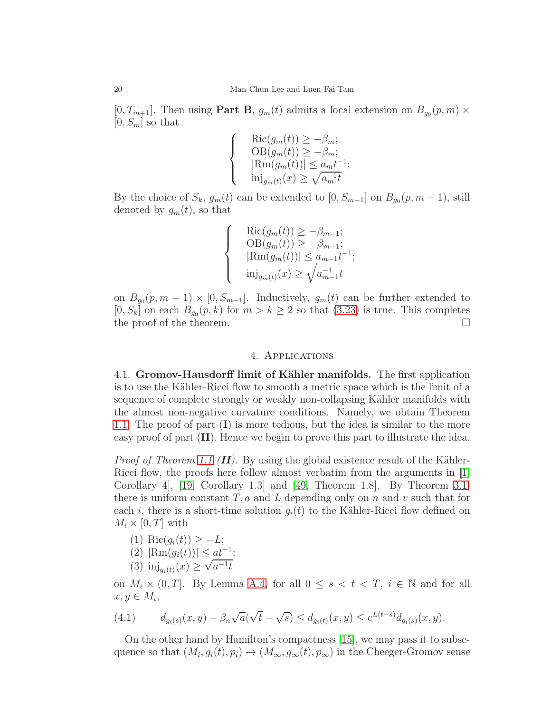$[0, T_{m+1}]$ . Then using **Part B**,  $g_m(t)$  admits a local extension on  $B_{g_0}(p, m) \times$  $[0, S_m]$  so that

> $\sqrt{ }$  $\bigg)$

> $\overline{\mathcal{L}}$

$$
Ric(g_m(t)) \ge -\beta_m;
$$
  
\n
$$
OB(g_m(t)) \ge -\beta_m;
$$
  
\n
$$
|Rm(g_m(t))| \le a_m t^{-1};
$$
  
\n
$$
inj_{g_m(t)}(x) \ge \sqrt{a_m^{-1}t}
$$

By the choice of  $S_k$ ,  $g_m(t)$  can be extended to  $[0, S_{m-1}]$  on  $B_{g_0}(p, m-1)$ , still denoted by  $g_m(t)$ , so that

$$
\left\{\begin{array}{ll} &\text{Ric}(g_m(t))\geq -\beta_{m-1};\\ &\text{OB}(g_m(t))\geq -\beta_{m-1};\\ &|\text{Rm}(g_m(t))|\leq a_{m-1}t^{-1};\\ &\text{inj}_{g_m(t)}(x)\geq \sqrt{a_{m-1}^{-1}t}\end{array}\right.
$$

on  $B_{g_0}(p, m-1) \times [0, S_{m-1}]$ . Inductively,  $g_m(t)$  can be further extended to  $[0, S_k]$  on each  $B_{g_0}(p, k)$  for  $m > k \ge 2$  so that  $(3.23)$  is true. This completes the proof of the theorem.  $\Box$ 

# 4. Applications

4.1. Gromov-Hausdorff limit of Kähler manifolds. The first application is to use the Kähler-Ricci flow to smooth a metric space which is the limit of a sequence of complete strongly or weakly non-collapsing Kähler manifolds with the almost non-negative curvature conditions. Namely, we obtain Theorem [1.1.](#page-1-0) The proof of part (I) is more tedious, but the idea is similar to the more easy proof of part (II). Hence we begin to prove this part to illustrate the idea.

*Proof of Theorem [1.1](#page-1-0) (II).* By using the global existence result of the Kähler-Ricci flow, the proofs here follow almost verbatim from the arguments in  $[1,$ Corollary 4], [\[19,](#page-30-1) Corollary 1.3] and [\[49,](#page-31-0) Theorem 1.8]. By Theorem [3.1,](#page-16-0) there is uniform constant  $T, a$  and L depending only on n and v such that for each i, there is a short-time solution  $g_i(t)$  to the Kähler-Ricci flow defined on  $M_i \times [0, T]$  with

- (1) Ric $(g_i(t)) \geq -L;$
- (2)  $|\text{Rm}(g_i(t))| \leq \underline{at^{-1}};$
- (3)  $\text{inj}_{g_i(t)}(x) \geq \sqrt{a^{-1}t}$

on  $M_i \times (0,T]$ . By Lemma [A.4,](#page-27-2) for all  $0 \leq s < t < T$ ,  $i \in \mathbb{N}$  and for all  $x, y \in M_i$ 

<span id="page-19-0"></span>(4.1) 
$$
d_{g_i(s)}(x,y) - \beta_n \sqrt{a}(\sqrt{t} - \sqrt{s}) \le d_{g_i(t)}(x,y) \le e^{L(t-s)} d_{g_i(s)}(x,y).
$$

On the other hand by Hamilton's compactness [\[15\]](#page-29-10), we may pass it to subsequence so that  $(M_i, g_i(t), p_i) \to (M_\infty, g_\infty(t), p_\infty)$  in the Cheeger-Gromov sense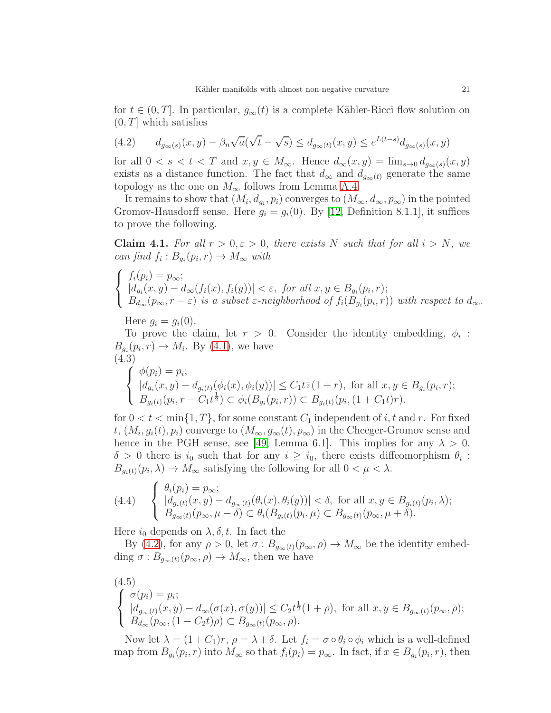for  $t \in (0, T]$ . In particular,  $g_{\infty}(t)$  is a complete Kähler-Ricci flow solution on  $(0, T]$  which satisfies

<span id="page-20-0"></span>(4.2) 
$$
d_{g_{\infty}(s)}(x,y) - \beta_n \sqrt{a}(\sqrt{t} - \sqrt{s}) \le d_{g_{\infty}(t)}(x,y) \le e^{L(t-s)}d_{g_{\infty}(s)}(x,y)
$$

for all  $0 < s < t < T$  and  $x, y \in M_\infty$ . Hence  $d_\infty(x, y) = \lim_{s\to 0} d_{g_\infty(s)}(x, y)$ exists as a distance function. The fact that  $d_{\infty}$  and  $d_{q_{\infty}(t)}$  generate the same topology as the one on  $M_{\infty}$  follows from Lemma [A.4.](#page-27-2)

It remains to show that  $(M_i, d_{g_i}, p_i)$  converges to  $(M_\infty, d_\infty, p_\infty)$  in the pointed Gromov-Hausdorff sense. Here  $g_i = g_i(0)$ . By [\[12,](#page-29-1) Definition 8.1.1], it suffices to prove the following.

**Claim 4.1.** For all  $r > 0, \varepsilon > 0$ , there exists N such that for all  $i > N$ , we can find  $f_i: B_{g_i}(p_i, r) \to M_\infty$  with

$$
\begin{cases}\nf_i(p_i) = p_\infty; \\
\left|d_{g_i}(x, y) - d_\infty(f_i(x), f_i(y))\right| < \varepsilon, \text{ for all } x, y \in B_{g_i}(p_i, r); \\
B_{d_\infty}(p_\infty, r - \varepsilon) \text{ is a subset } \varepsilon\text{-neighborhood of } f_i(B_{g_i}(p_i, r)) \text{ with respect to } d_\infty.\n\end{cases}
$$

Here  $g_i = g_i(0)$ .

To prove the claim, let  $r > 0$ . Consider the identity embedding,  $\phi_i$ :  $B_{g_i}(p_i, r) \to M_i$ . By [\(4.1\)](#page-19-0), we have (4.3)

<span id="page-20-1"></span>
$$
\begin{cases}\n\phi(p_i) = p_i; \\
|d_{g_i}(x, y) - d_{g_i(t)}(\phi_i(x), \phi_i(y))| \leq C_1 t^{\frac{1}{2}} (1+r), \text{ for all } x, y \in B_{g_i}(p_i, r); \\
B_{g_i(t)}(p_i, r - C_1 t^{\frac{1}{2}}) \subset \phi_i(B_{g_i}(p_i, r)) \subset B_{g_i(t)}(p_i, (1 + C_1 t)r).\n\end{cases}
$$

for  $0 < t < \min\{1, T\}$ , for some constant  $C_1$  independent of i, t and r. For fixed  $t, (M_i, g_i(t), p_i)$  converge to  $(M_\infty, g_\infty(t), p_\infty)$  in the Cheeger-Gromov sense and hence in the PGH sense, see [\[49,](#page-31-0) Lemma 6.1]. This implies for any  $\lambda > 0$ ,  $\delta > 0$  there is  $i_0$  such that for any  $i \geq i_0$ , there exists diffeomorphism  $\theta_i$ :  $B_{g_i(t)}(p_i, \lambda) \to M_\infty$  satisfying the following for all  $0 < \mu < \lambda$ .

$$
(4.4) \quad \begin{cases} \theta_i(p_i) = p_{\infty}; \\ \left| d_{g_i(t)}(x, y) - d_{g_{\infty}(t)}(\theta_i(x), \theta_i(y)) \right| < \delta, \text{ for all } x, y \in B_{g_i(t)}(p_i, \lambda); \\ B_{g_{\infty}(t)}(p_{\infty}, \mu - \delta) < \theta_i(B_{g_i(t)}(p_i, \mu) \subset B_{g_{\infty}(t)}(p_{\infty}, \mu + \delta). \end{cases}
$$

Here  $i_0$  depends on  $\lambda, \delta, t$ . In fact the

By [\(4.2\)](#page-20-0), for any  $\rho > 0$ , let  $\sigma : B_{g_{\infty}(t)}(p_{\infty}, \rho) \to M_{\infty}$  be the identity embedding  $\sigma: B_{q_\infty(t)}(p_\infty, \rho) \to M_\infty$ , then we have

<span id="page-20-2"></span>
$$
\begin{cases}\n(4.5) \\
\sigma(p_i) = p_i; \\
\left| \begin{array}{l}\n d_{g_\infty(t)}(x, y) - d_\infty(\sigma(x), \sigma(y)) \le C_2 t^{\frac{1}{2}} (1 + \rho), \text{ for all } x, y \in B_{g_\infty(t)}(p_\infty, \rho);\n\end{array}\n\right| \\
B_{d_\infty}(p_\infty, (1 - C_2 t)\rho) \subset B_{g_\infty(t)}(p_\infty, \rho).\n\end{cases}
$$

Now let  $\lambda = (1+C_1)r$ ,  $\rho = \lambda + \delta$ . Let  $f_i = \sigma \circ \theta_i \circ \phi_i$  which is a well-defined map from  $B_{g_i}(p_i, r)$  into  $M_\infty$  so that  $f_i(p_i) = p_\infty$ . In fact, if  $x \in B_{g_i}(p_i, r)$ , then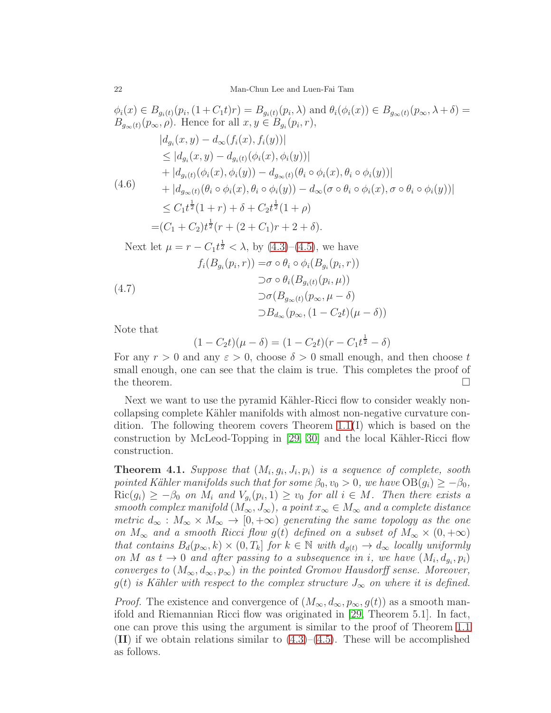$$
\phi_i(x) \in B_{g_i(t)}(p_i, (1 + C_1 t)r) = B_{g_i(t)}(p_i, \lambda) \text{ and } \theta_i(\phi_i(x)) \in B_{g_{\infty}(t)}(p_{\infty}, \lambda + \delta) =
$$
  
\n
$$
B_{g_{\infty}(t)}(p_{\infty}, \rho). \text{ Hence for all } x, y \in B_{g_i}(p_i, r),
$$
  
\n
$$
|d_{g_i}(x, y) - d_{\infty}(f_i(x), f_i(y))|
$$
  
\n
$$
\leq |d_{g_i}(x, y) - d_{g_i(t)}(\phi_i(x), \phi_i(y))|
$$
  
\n
$$
+ |d_{g_i(t)}(\phi_i(x), \phi_i(y)) - d_{g_{\infty}(t)}(\theta_i \circ \phi_i(x), \theta_i \circ \phi_i(y))|
$$
  
\n
$$
+ |d_{g_{\infty}(t)}(\theta_i \circ \phi_i(x), \theta_i \circ \phi_i(y)) - d_{\infty}(\sigma \circ \theta_i \circ \phi_i(x), \sigma \circ \theta_i \circ \phi_i(y))|
$$
  
\n
$$
\leq C_1 t^{\frac{1}{2}} (1 + r) + \delta + C_2 t^{\frac{1}{2}} (1 + \rho)
$$
  
\n
$$
= (C_1 + C_2) t^{\frac{1}{2}} (r + (2 + C_1)r + 2 + \delta).
$$

Next let 
$$
\mu = r - C_1 t^{\frac{1}{2}} < \lambda
$$
, by (4.3)–(4.5), we have  
\n
$$
f_i(B_{g_i}(p_i, r)) = \sigma \circ \theta_i \circ \phi_i(B_{g_i}(p_i, r))
$$
\n
$$
\supset \sigma \circ \theta_i(B_{g_i(t)}(p_i, \mu))
$$
\n(4.7)\n
$$
\supset \sigma(B_{g_{\infty}(t)}(p_{\infty}, \mu - \delta))
$$
\n
$$
\supset B_{d_{\infty}}(p_{\infty}, (1 - C_2 t)(\mu - \delta))
$$

Note that

$$
(1 - C_2 t)(\mu - \delta) = (1 - C_2 t)(r - C_1 t^{\frac{1}{2}} - \delta)
$$

For any  $r > 0$  and any  $\varepsilon > 0$ , choose  $\delta > 0$  small enough, and then choose t small enough, one can see that the claim is true. This completes the proof of the theorem.  $\Box$ 

Next we want to use the pyramid Kähler-Ricci flow to consider weakly noncollapsing complete Kähler manifolds with almost non-negative curvature condition. The following theorem covers Theorem [1.1](#page-1-0)(I) which is based on the construction by McLeod-Topping in  $[29, 30]$  $[29, 30]$  and the local Kähler-Ricci flow construction.

**Theorem 4.1.** Suppose that  $(M_i, g_i, J_i, p_i)$  is a sequence of complete, sooth pointed Kähler manifolds such that for some  $\beta_0, v_0 > 0$ , we have  $OB(g_i) \geq -\beta_0$ ,  $\text{Ric}(g_i) \geq -\beta_0$  on  $M_i$  and  $V_{g_i}(p_i, 1) \geq v_0$  for all  $i \in M$ . Then there exists a smooth complex manifold  $(M_{\infty}, J_{\infty})$ , a point  $x_{\infty} \in M_{\infty}$  and a complete distance metric  $d_{\infty}: M_{\infty} \times M_{\infty} \to [0, +\infty)$  generating the same topology as the one on  $M_{\infty}$  and a smooth Ricci flow g(t) defined on a subset of  $M_{\infty} \times (0, +\infty)$ that contains  $B_d(p_\infty, k) \times (0, T_k]$  for  $k \in \mathbb{N}$  with  $d_{q(t)} \to d_\infty$  locally uniformly on M as  $t \to 0$  and after passing to a subsequence in i, we have  $(M_i, d_{g_i}, p_i)$ converges to  $(M_{\infty}, d_{\infty}, p_{\infty})$  in the pointed Gromov Hausdorff sense. Moreover,  $g(t)$  is Kähler with respect to the complex structure  $J_{\infty}$  on where it is defined.

*Proof.* The existence and convergence of  $(M_{\infty}, d_{\infty}, p_{\infty}, g(t))$  as a smooth manifold and Riemannian Ricci flow was originated in [\[29,](#page-30-2) Theorem 5.1]. In fact, one can prove this using the argument is similar to the proof of Theorem [1.1](#page-1-0) (II) if we obtain relations similar to  $(4.3)$ – $(4.5)$ . These will be accomplished as follows.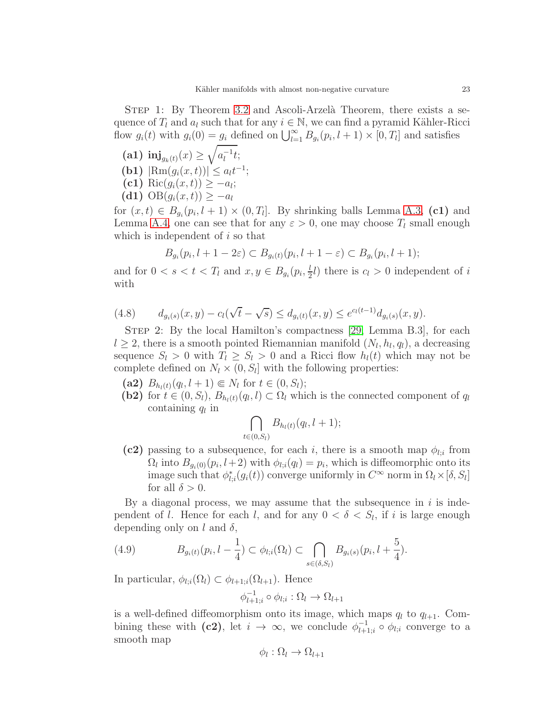- (a1)  $\text{inj}_{g_k(t)}(x) \ge \sqrt{a_l^{-1}}$  $\bar{t}^{-1}$ t;
- (**b1**)  $|\text{Rm}(g_i(x,t))| \leq a_i t^{-1};$
- $(\mathbf{c1}) \operatorname{Ric}(g_i(x,t)) \geq -a_i;$
- (d1)  $OB(g_i(x, t)) \ge -a_l$

for  $(x,t) \in B_{g_i}(p_i, l+1) \times (0,T_i]$ . By shrinking balls Lemma [A.3,](#page-27-0) (c1) and Lemma [A.4,](#page-27-2) one can see that for any  $\varepsilon > 0$ , one may choose  $T_l$  small enough which is independent of  $i$  so that

$$
B_{g_i}(p_i, l+1-2\varepsilon) \subset B_{g_i(t)}(p_i, l+1-\varepsilon) \subset B_{g_i}(p_i, l+1);
$$

and for  $0 < s < t < T_l$  and  $x, y \in B_{g_i}(p_i, \frac{l}{2})$  $\frac{l}{2}l$ ) there is  $c_l > 0$  independent of i with

(4.8) 
$$
d_{g_i(s)}(x,y) - c_l(\sqrt{t} - \sqrt{s}) \le d_{g_i(t)}(x,y) \le e^{c_l(t-1)} d_{g_i(s)}(x,y).
$$

STEP 2: By the local Hamilton's compactness [\[29,](#page-30-2) Lemma B.3], for each  $l \geq 2$ , there is a smooth pointed Riemannian manifold  $(N_l, h_l, q_l)$ , a decreasing sequence  $S_l > 0$  with  $T_l \geq S_l > 0$  and a Ricci flow  $h_l(t)$  which may not be complete defined on  $N_l \times (0, S_l]$  with the following properties:

- (a2)  $B_{h_l(t)}(q_l, l+1) \in N_l$  for  $t \in (0, S_l);$
- (b2) for  $t \in (0, S_l)$ ,  $B_{h_l(t)}(q_l, l) \subset \Omega_l$  which is the connected component of  $q_l$ containing  $q_l$  in

$$
\bigcap_{t\in(0,S_l)}B_{h_l(t)}(q_l,l+1);
$$

(c2) passing to a subsequence, for each i, there is a smooth map  $\phi_{l,i}$  from  $\Omega_l$  into  $B_{g_i(0)}(p_i, l+2)$  with  $\phi_{l,i}(q_l) = p_i$ , which is diffeomorphic onto its image such that  $\phi_l^*$  $\hat{I}_{l,i}(g_i(t))$  converge uniformly in  $C^{\infty}$  norm in  $\Omega_l \times [\delta, S_l]$ for all  $\delta > 0$ .

By a diagonal process, we may assume that the subsequence in  $i$  is independent of *l*. Hence for each *l*, and for any  $0 < \delta < S_l$ , if *i* is large enough depending only on l and  $\delta$ ,

<span id="page-22-0"></span>(4.9) 
$$
B_{g_i(t)}(p_i, l - \frac{1}{4}) \subset \phi_{l;i}(\Omega_l) \subset \bigcap_{s \in (\delta, S_l)} B_{g_i(s)}(p_i, l + \frac{5}{4}).
$$

In particular,  $\phi_{l,i}(\Omega_l) \subset \phi_{l+1,i}(\Omega_{l+1})$ . Hence

$$
\phi_{l+1;i}^{-1} \circ \phi_{l;i} : \Omega_l \to \Omega_{l+1}
$$

is a well-defined diffeomorphism onto its image, which maps  $q_l$  to  $q_{l+1}$ . Combining these with (c2), let  $i \to \infty$ , we conclude  $\phi_{l+1}^{-1}$  $l_{l+1;i}^{-1} \circ \phi_{l;i}$  converge to a smooth map

$$
\phi_l : \Omega_l \to \Omega_{l+1}
$$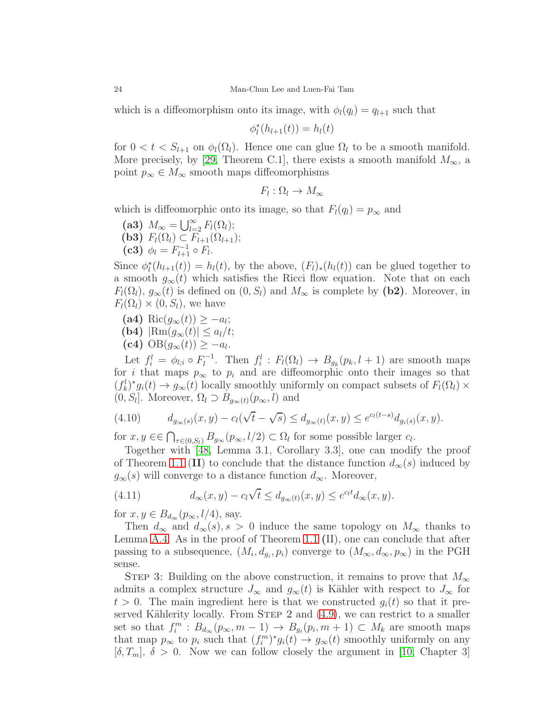which is a diffeomorphism onto its image, with  $\phi_l(q_l) = q_{l+1}$  such that

$$
\phi_l^*(h_{l+1}(t)) = h_l(t)
$$

for  $0 < t < S_{l+1}$  on  $\phi_l(\Omega_l)$ . Hence one can glue  $\Omega_l$  to be a smooth manifold. More precisely, by [\[29,](#page-30-2) Theorem C.1], there exists a smooth manifold  $M_{\infty}$ , a point  $p_{\infty} \in M_{\infty}$  smooth maps diffeomorphisms

$$
F_l:\Omega_l\to M_\infty
$$

which is diffeomorphic onto its image, so that  $F_l(q_l) = p_{\infty}$  and

- (a3)  $M_{\infty} = \bigcup_{l=2}^{\infty} F_l(\Omega_l);$
- (b3)  $F_l(\Omega_l) \subset F_{l+1}(\Omega_{l+1});$
- (c3)  $\phi_l = F_{l+1}^{-1} \circ F_l$ .

Since  $\phi_l^*$  $\hat{I}_l(h_{l+1}(t)) = h_l(t)$ , by the above,  $(F_l)_*(h_l(t))$  can be glued together to a smooth  $g_{\infty}(t)$  which satisfies the Ricci flow equation. Note that on each  $F_l(\Omega_l)$ ,  $g_\infty(t)$  is defined on  $(0, S_l)$  and  $M_\infty$  is complete by  $(b2)$ . Moreover, in  $F_l(\Omega_l)\times(0, S_l)$ , we have

- (a4) Ric $(g_{\infty}(t)) \ge -a_l;$
- (**b4**)  $|\text{Rm}(q_{\infty}(t))| \leq a_l/t;$
- (c4)  $OB(g_{\infty}(t)) \geq -a_l$ .

Let  $f_i^l = \phi_{l;i} \circ F_l^{-1}$ <sup>1-1</sup>. Then  $f_i^l : F_l(\Omega_l) \to B_{g_k}(p_k, l+1)$  are smooth maps for i that maps  $p_{\infty}$  to  $p_i$  and are diffeomorphic onto their images so that  $(f_k^l)^* g_i(t) \to g_\infty(t)$  locally smoothly uniformly on compact subsets of  $F_l(\Omega_l) \times$  $(0, S_l]$ . Moreover,  $\Omega_l \supset B_{g_{\infty}(t)}(p_{\infty}, l)$  and

(4.10) 
$$
d_{g_{\infty}(s)}(x,y) - c_l(\sqrt{t} - \sqrt{s}) \leq d_{g_{\infty}(t)}(x,y) \leq e^{c_l(t-s)}d_{g_i(s)}(x,y).
$$

for  $x, y \in \bigcap_{\tau \in (0, S_l)} B_{g_\infty}(p_\infty, l/2) \subset \Omega_l$  for some possible larger  $c_l$ .

Together with [\[48,](#page-31-3) Lemma 3.1, Corollary 3.3], one can modify the proof of Theorem [1.1](#page-1-0) (II) to conclude that the distance function  $d_{\infty}(s)$  induced by  $g_{\infty}(s)$  will converge to a distance function  $d_{\infty}$ . Moreover,

(4.11) 
$$
d_{\infty}(x, y) - c_l \sqrt{t} \leq d_{g_{\infty}(t)}(x, y) \leq e^{c_l t} d_{\infty}(x, y).
$$

for  $x, y \in B_{d_{\infty}}(p_{\infty}, l/4)$ , say.

Then  $d_{\infty}$  and  $d_{\infty}(s)$ ,  $s > 0$  induce the same topology on  $M_{\infty}$  thanks to Lemma [A.4.](#page-27-2) As in the proof of Theorem [1.1](#page-1-0) (II), one can conclude that after passing to a subsequence,  $(M_i, d_{g_i}, p_i)$  converge to  $(M_\infty, d_\infty, p_\infty)$  in the PGH sense.

STEP 3: Building on the above construction, it remains to prove that  $M_{\infty}$ admits a complex structure  $J_{\infty}$  and  $g_{\infty}(t)$  is Kähler with respect to  $J_{\infty}$  for  $t > 0$ . The main ingredient here is that we constructed  $q_i(t)$  so that it preserved Kählerity locally. From STEP 2 and  $(4.9)$ , we can restrict to a smaller set so that  $f_i^m : B_{d_\infty}(p_\infty, m-1) \to B_{g_i}(p_i, m+1) \subset M_k$  are smooth maps that map  $p_{\infty}$  to  $p_i$  such that  $(f_i^m)^* g_i(t) \to g_{\infty}(t)$  smoothly uniformly on any  $[\delta, T_m], \delta > 0$ . Now we can follow closely the argument in [\[10,](#page-29-13) Chapter 3]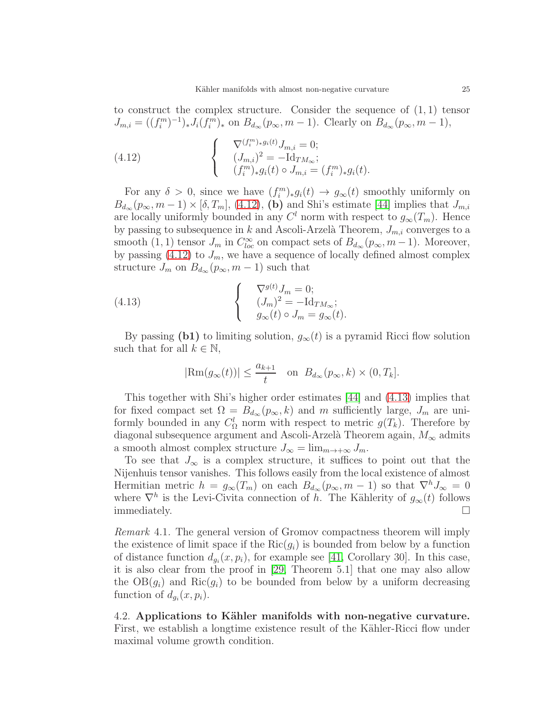to construct the complex structure. Consider the sequence of  $(1, 1)$  tensor  $J_{m,i} = ((f_i^m)^{-1})_* J_i(f_i^m)_*$  on  $B_{d_{\infty}}(p_{\infty}, m-1)$ . Clearly on  $B_{d_{\infty}}(p_{\infty}, m-1)$ ,

<span id="page-24-0"></span>(4.12) 
$$
\begin{cases}\n\nabla^{(f_i^m)_*g_i(t)} J_{m,i} = 0; \\
(J_{m,i})^2 = -\mathrm{Id}_{TM_\infty}; \\
(f_i^m)_* g_i(t) \circ J_{m,i} = (f_i^m)_* g_i(t).\n\end{cases}
$$

For any  $\delta > 0$ , since we have  $(f_i^m)_*g_i(t) \to g_\infty(t)$  smoothly uniformly on  $B_{d_{\infty}}(p_{\infty}, m-1) \times [\delta, T_m], (4.12), (b)$  $B_{d_{\infty}}(p_{\infty}, m-1) \times [\delta, T_m], (4.12), (b)$  $B_{d_{\infty}}(p_{\infty}, m-1) \times [\delta, T_m], (4.12), (b)$  and Shi's estimate [\[44\]](#page-31-4) implies that  $J_{m,i}$ are locally uniformly bounded in any  $C<sup>l</sup>$  norm with respect to  $g_{\infty}(T_m)$ . Hence by passing to subsequence in k and Ascoli-Arzelà Theorem,  $J_{m,i}$  converges to a smooth (1, 1) tensor  $J_m$  in  $C^{\infty}_{loc}$  on compact sets of  $B_{d_{\infty}}(p_{\infty}, m-1)$ . Moreover, by passing  $(4.12)$  to  $J_m$ , we have a sequence of locally defined almost complex structure  $J_m$  on  $B_{d_{\infty}}(p_{\infty}, m-1)$  such that

(4.13) 
$$
\begin{cases} \nabla^{g(t)} J_m = 0; \\ \n(d_m)^2 = -\mathrm{Id}_{TM_{\infty}}; \\ \ng_\infty(t) \circ J_m = g_\infty(t). \n\end{cases}
$$

By passing (b1) to limiting solution,  $g_{\infty}(t)$  is a pyramid Ricci flow solution such that for all  $k \in \mathbb{N}$ ,

<span id="page-24-1"></span>
$$
|\text{Rm}(g_{\infty}(t))| \le \frac{a_{k+1}}{t}
$$
 on  $B_{d_{\infty}}(p_{\infty}, k) \times (0, T_k]$ .

This together with Shi's higher order estimates [\[44\]](#page-31-4) and [\(4.13\)](#page-24-1) implies that for fixed compact set  $\Omega = B_{d_{\infty}}(p_{\infty}, k)$  and m sufficiently large,  $J_m$  are uniformly bounded in any  $C^l_{\Omega}$  norm with respect to metric  $g(T_k)$ . Therefore by diagonal subsequence argument and Ascoli-Arzelà Theorem again,  $M_{\infty}$  admits a smooth almost complex structure  $J_{\infty} = \lim_{m \to +\infty} J_m$ .

To see that  $J_{\infty}$  is a complex structure, it suffices to point out that the Nijenhuis tensor vanishes. This follows easily from the local existence of almost Hermitian metric  $h = g_{\infty}(T_m)$  on each  $B_{d_{\infty}}(p_{\infty}, m-1)$  so that  $\nabla^h J_{\infty} = 0$ where  $\nabla^h$  is the Levi-Civita connection of h. The Kählerity of  $g_{\infty}(t)$  follows immediately.  $\Box$ 

Remark 4.1. The general version of Gromov compactness theorem will imply the existence of limit space if the  $Ric(q_i)$  is bounded from below by a function of distance function  $d_{g_i}(x, p_i)$ , for example see [\[41,](#page-31-7) Corollary 30]. In this case, it is also clear from the proof in [\[29,](#page-30-2) Theorem 5.1] that one may also allow the  $OB(g_i)$  and  $Ric(g_i)$  to be bounded from below by a uniform decreasing function of  $d_{g_i}(x, p_i)$ .

4.2. Applications to Kähler manifolds with non-negative curvature. First, we establish a longtime existence result of the Kähler-Ricci flow under maximal volume growth condition.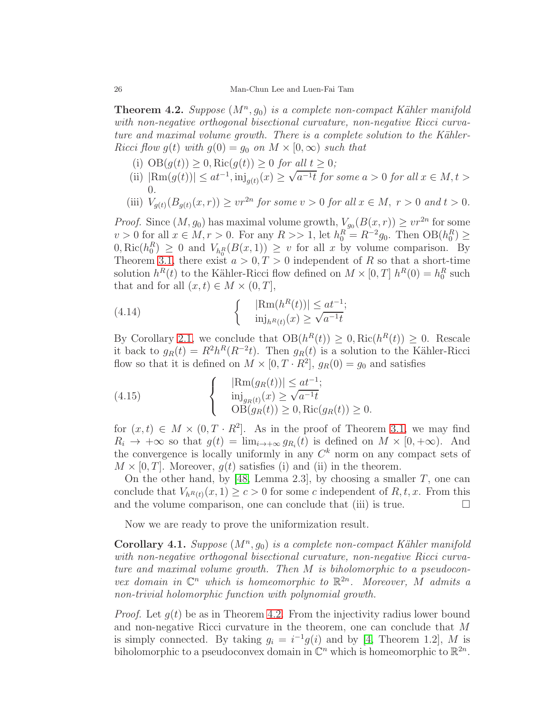<span id="page-25-0"></span>**Theorem 4.2.** Suppose  $(M^n, g_0)$  is a complete non-compact Kähler manifold with non-negative orthogonal bisectional curvature, non-negative Ricci curvature and maximal volume growth. There is a complete solution to the Kähler-Ricci flow  $g(t)$  with  $g(0) = g_0$  on  $M \times [0, \infty)$  such that

- (i)  $OB(g(t)) \geq 0$ ,  $Ric(g(t)) \geq 0$  for all  $t \geq 0$ ;
- (ii)  $|\text{Rm}(g(t))| \le at^{-1}$ ,  $\text{inj}_{g(t)}(x) \ge \sqrt{a^{-1}t}$  for some  $a > 0$  for all  $x \in M, t >$ 0.
- (iii)  $V_{g(t)}(B_{g(t)}(x,r)) \geq vr^{2n}$  for some  $v > 0$  for all  $x \in M$ ,  $r > 0$  and  $t > 0$ .

*Proof.* Since  $(M, g_0)$  has maximal volume growth,  $V_{g_0}(B(x, r)) \geq v r^{2n}$  for some  $v > 0$  for all  $x \in M, r > 0$ . For any  $R >> 1$ , let  $h_0^R = R^{-2}g_0$ . Then  $OB(h_0^R) \ge$  $(0, \text{Ric}(h_0^R) \geq 0 \text{ and } V_{h_0^R}(B(x, 1)) \geq v \text{ for all } x \text{ by volume comparison. By}$ Theorem [3.1,](#page-16-0) there exist  $a > 0, T > 0$  independent of R so that a short-time solution  $h^R(t)$  to the Kähler-Ricci flow defined on  $M \times [0, T]$   $h^R(0) = h_0^R$  such that and for all  $(x, t) \in M \times (0, T]$ ,

(4.14) 
$$
\begin{cases} |\text{Rm}(h^{R}(t))| \leq at^{-1};\\ \min_{h^{R}(t)}(x) \geq \sqrt{a^{-1}t} \end{cases}
$$

By Corollary [2.1,](#page-9-1) we conclude that  $OB(h^R(t)) \geq 0$ , Ric $(h^R(t)) \geq 0$ . Rescale it back to  $g_R(t) = R^2 h^R(R^{-2}t)$ . Then  $g_R(t)$  is a solution to the Kähler-Ricci flow so that it is defined on  $M \times [0, T \cdot R^2]$ ,  $g_R(0) = g_0$  and satisfies

(4.15) 
$$
\begin{cases} |\text{Rm}(g_R(t))| \leq at^{-1};\\ \text{inj}_{g_R(t)}(x) \geq \sqrt{a^{-1}t} \\ \text{OB}(g_R(t)) \geq 0, \text{Ric}(g_R(t)) \geq 0. \end{cases}
$$

for  $(x, t) \in M \times (0, T \cdot R^2]$ . As in the proof of Theorem [3.1,](#page-16-0) we may find  $R_i \to +\infty$  so that  $g(t) = \lim_{i \to +\infty} g_{R_i}(t)$  is defined on  $M \times [0, +\infty)$ . And the convergence is locally uniformly in any  $C<sup>k</sup>$  norm on any compact sets of  $M \times [0, T]$ . Moreover,  $q(t)$  satisfies (i) and (ii) in the theorem.

On the other hand, by [\[48,](#page-31-3) Lemma 2.3], by choosing a smaller  $T$ , one can conclude that  $V_{h^R(t)}(x,1) \ge c > 0$  for some c independent of  $R, t, x$ . From this and the volume comparison, one can conclude that (iii) is true.  $\Box$ 

Now we are ready to prove the uniformization result.

Corollary 4.1. Suppose  $(M^n, g_0)$  is a complete non-compact Kähler manifold with non-negative orthogonal bisectional curvature, non-negative Ricci curvature and maximal volume growth. Then M is biholomorphic to a pseudoconvex domain in  $\mathbb{C}^n$  which is homeomorphic to  $\mathbb{R}^{2n}$ . Moreover, M admits a non-trivial holomorphic function with polynomial growth.

*Proof.* Let  $q(t)$  be as in Theorem [4.2.](#page-25-0) From the injectivity radius lower bound and non-negative Ricci curvature in the theorem, one can conclude that M is simply connected. By taking  $g_i = i^{-1}g(i)$  and by [\[4,](#page-29-14) Theorem 1.2], M is biholomorphic to a pseudoconvex domain in  $\mathbb{C}^n$  which is homeomorphic to  $\mathbb{R}^{2n}$ .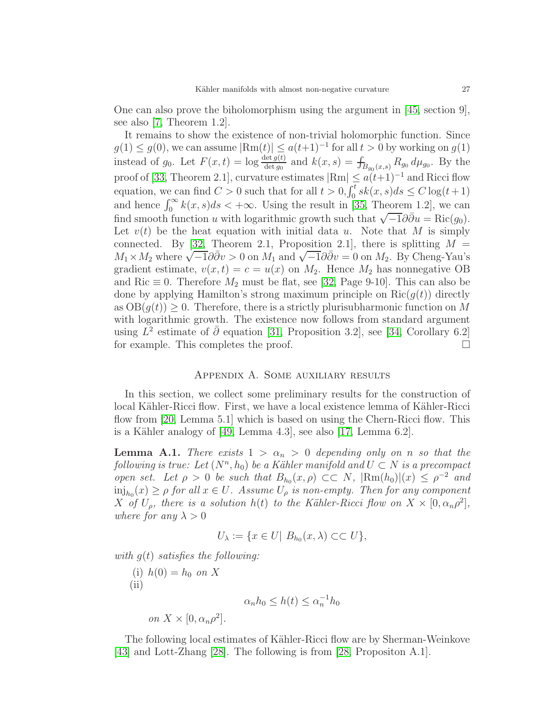One can also prove the biholomorphism using the argument in [\[45,](#page-31-8) section 9], see also [\[7,](#page-29-15) Theorem 1.2].

It remains to show the existence of non-trivial holomorphic function. Since  $g(1) \leq g(0)$ , we can assume  $|\text{Rm}(t)| \leq a(t+1)^{-1}$  for all  $t > 0$  by working on  $g(1)$ instead of  $g_0$ . Let  $F(x,t) = \log \frac{\det g(t)}{\det g_0}$  and  $k(x,s) = \int_{B_{g_0}(x,s)} R_{g_0} d\mu_{g_0}$ . By the proof of [\[33,](#page-30-18) Theorem 2.1], curvature estimates  $|\text{Rm}| \leq a(t+1)^{-1}$  and Ricci flow equation, we can find  $C > 0$  such that for all  $t > 0, \int_0^t sk(x, s)ds \leq C \log(t+1)$ and hence  $\int_0^\infty k(x,s)ds < +\infty$ . Using the result in [\[35,](#page-30-19) Theorem 1.2], we can find smooth function u with logarithmic growth such that  $\sqrt{-1}\partial\bar{\partial}u = \text{Ric}(g_0)$ . Let  $v(t)$  be the heat equation with initial data u. Note that M is simply connected. By [\[32,](#page-30-20) Theorem 2.1, Proposition 2.1], there is splitting  $M =$  $M_1 \times M_2$  where  $\sqrt{-1}\partial \overline{\partial} v > 0$  on  $M_1$  and  $\sqrt{-1}\partial \overline{\partial} v = 0$  on  $M_2$ . By Cheng-Yau's gradient estimate,  $v(x, t) = c = u(x)$  on  $M_2$ . Hence  $M_2$  has nonnegative OB and Ric  $\equiv 0$ . Therefore  $M_2$  must be flat, see [\[32,](#page-30-20) Page 9-10]. This can also be done by applying Hamilton's strong maximum principle on  $Ric(g(t))$  directly as  $OB(g(t)) \geq 0$ . Therefore, there is a strictly plurisubharmonic function on M with logarithmic growth. The existence now follows from standard argument using  $\tilde{L}^2$  estimate of  $\bar{\partial}$  equation [\[31,](#page-30-21) Proposition 3.2], see [\[34,](#page-30-22) Corollary 6.2] for example. This completes the proof.

# Appendix A. Some auxiliary results

In this section, we collect some preliminary results for the construction of local Kähler-Ricci flow. First, we have a local existence lemma of Kähler-Ricci flow from [\[20,](#page-30-10) Lemma 5.1] which is based on using the Chern-Ricci flow. This is a Kähler analogy of  $[49, \text{Lemma } 4.3]$ , see also  $[17, \text{Lemma } 6.2]$ .

<span id="page-26-0"></span>**Lemma A.1.** There exists  $1 > \alpha_n > 0$  depending only on n so that the following is true: Let  $(N^n, h_0)$  be a Kähler manifold and  $U \subset N$  is a precompact open set. Let  $\rho > 0$  be such that  $B_{h_0}(x, \rho) \subset\subset N$ ,  $|\text{Rm}(h_0)|(x) \leq \rho^{-2}$  and  $\min_{h_0}(x) \ge \rho$  for all  $x \in U$ . Assume  $U_\rho$  is non-empty. Then for any component X of  $U_{\rho}$ , there is a solution  $h(t)$  to the Kähler-Ricci flow on  $X \times [0, \alpha_n \rho^2]$ , where for any  $\lambda > 0$ 

$$
U_{\lambda} := \{ x \in U | B_{h_0}(x, \lambda) \subset \subset U \},
$$

with  $q(t)$  satisfies the following:

(i)  $h(0) = h_0$  on X  $(ii)$  $\alpha_n h_0 \leq h(t) \leq \alpha_n^{-1} h_0$ on  $X \times [0, \alpha_n \rho^2]$ .

The following local estimates of Kähler-Ricci flow are by Sherman-Weinkove [\[43\]](#page-31-9) and Lott-Zhang [\[28\]](#page-30-23). The following is from [\[28,](#page-30-23) Propositon A.1].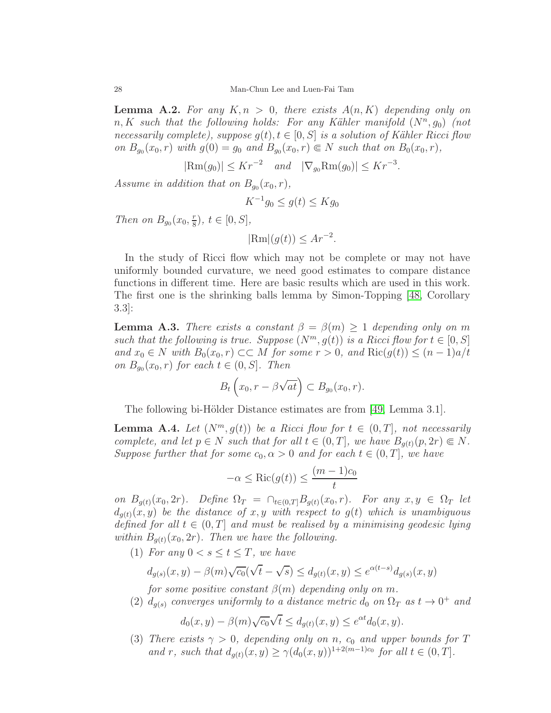<span id="page-27-1"></span>**Lemma A.2.** For any  $K, n > 0$ , there exists  $A(n, K)$  depending only on  $n, K$  such that the following holds: For any Kähler manifold  $(N^n, g_0)$  (not necessarily complete), suppose  $q(t), t \in [0, S]$  is a solution of Kähler Ricci flow on  $B_{g_0}(x_0, r)$  with  $g(0) = g_0$  and  $B_{g_0}(x_0, r) \in N$  such that on  $B_0(x_0, r)$ ,

 $|\text{Rm}(g_0)| \le Kr^{-2} \quad and \quad |\nabla_{g_0} \text{Rm}(g_0)| \le Kr^{-3}.$ 

Assume in addition that on  $B_{g_0}(x_0,r)$ ,

$$
K^{-1}g_0 \le g(t) \le Kg_0
$$

Then on  $B_{g_0}(x_0, \frac{r}{8})$  $(\frac{r}{8}), t \in [0, S],$ 

$$
|\text{Rm}|(g(t)) \le Ar^{-2}.
$$

In the study of Ricci flow which may not be complete or may not have uniformly bounded curvature, we need good estimates to compare distance functions in different time. Here are basic results which are used in this work. The first one is the shrinking balls lemma by Simon-Topping [\[48,](#page-31-3) Corollary 3.3]:

<span id="page-27-0"></span>**Lemma A.3.** There exists a constant  $\beta = \beta(m) \geq 1$  depending only on m such that the following is true. Suppose  $(N^m, g(t))$  is a Ricci flow for  $t \in [0, S]$ and  $x_0 \in N$  with  $B_0(x_0, r) \subset M$  for some  $r > 0$ , and  $\text{Ric}(g(t)) \leq (n-1)a/t$ on  $B_{g_0}(x_0, r)$  for each  $t \in (0, S]$ . Then

$$
B_t\left(x_0,r-\beta\sqrt{at}\right)\subset B_{g_0}(x_0,r).
$$

The following bi-Hölder Distance estimates are from [\[49,](#page-31-0) Lemma 3.1].

<span id="page-27-2"></span>**Lemma A.4.** Let  $(N^m, g(t))$  be a Ricci flow for  $t \in (0, T]$ , not necessarily complete, and let  $p \in N$  such that for all  $t \in (0,T]$ , we have  $B_{q(t)}(p, 2r) \in N$ . Suppose further that for some  $c_0, \alpha > 0$  and for each  $t \in (0, T]$ , we have

$$
-\alpha \le \text{Ric}(g(t)) \le \frac{(m-1)c_0}{t}
$$

on  $B_{q(t)}(x_0, 2r)$ . Define  $\Omega_T = \bigcap_{t \in (0,T]} B_{q(t)}(x_0, r)$ . For any  $x, y \in \Omega_T$  let  $d_{q(t)}(x, y)$  be the distance of x, y with respect to  $q(t)$  which is unambiguous defined for all  $t \in (0, T]$  and must be realised by a minimising geodesic lying within  $B_{q(t)}(x_0, 2r)$ . Then we have the following.

(1) For any  $0 < s \le t \le T$ , we have

$$
d_{g(s)}(x, y) - \beta(m)\sqrt{c_0}(\sqrt{t} - \sqrt{s}) \le d_{g(t)}(x, y) \le e^{\alpha(t-s)}d_{g(s)}(x, y)
$$

for some positive constant  $\beta(m)$  depending only on m.

(2)  $d_{g(s)}$  converges uniformly to a distance metric  $d_0$  on  $\Omega_T$  as  $t \to 0^+$  and

$$
d_0(x,y) - \beta(m)\sqrt{c_0}\sqrt{t} \le d_{g(t)}(x,y) \le e^{\alpha t}d_0(x,y).
$$

(3) There exists  $\gamma > 0$ , depending only on n,  $c_0$  and upper bounds for T and r, such that  $d_{g(t)}(x, y) \ge \gamma(d_0(x, y))^{1+2(m-1)c_0}$  for all  $t \in (0, T]$ .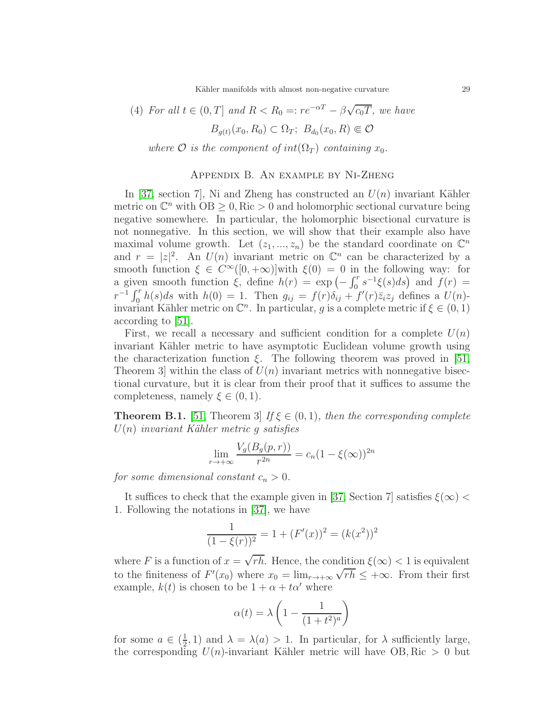Kähler manifolds with almost non-negative curvature 29

(4) For all 
$$
t \in (0, T]
$$
 and  $R < R_0 =: re^{-\alpha T} - \beta \sqrt{c_0 T}$ , we have  

$$
B_{g(t)}(x_0, R_0) \subset \Omega_T; B_{d_0}(x_0, R) \Subset \mathcal{O}
$$

where  $\mathcal O$  is the component of int( $\Omega_T$ ) containing  $x_0$ .

# Appendix B. An example by Ni-Zheng

In [\[37,](#page-30-11) section 7], Ni and Zheng has constructed an  $U(n)$  invariant Kähler metric on  $\mathbb{C}^n$  with  $\overline{OB} \geq 0$ , Ric  $> 0$  and holomorphic sectional curvature being negative somewhere. In particular, the holomorphic bisectional curvature is not nonnegative. In this section, we will show that their example also have maximal volume growth. Let  $(z_1, ..., z_n)$  be the standard coordinate on  $\mathbb{C}^n$ and  $r = |z|^2$ . An  $U(n)$  invariant metric on  $\mathbb{C}^n$  can be characterized by a smooth function  $\xi \in C^{\infty}([0, +\infty)]$  with  $\xi(0) = 0$  in the following way: for a given smooth function  $\xi$ , define  $h(r) = \exp(-\int_0^r s^{-1}\xi(s)ds)$  and  $f(r) =$  $r^{-1}\int_0^r h(s)ds$  with  $h(0) = 1$ . Then  $g_{ij} = f(r)\delta_{ij} + f'(r)\overline{z}_iz_j$  defines a  $U(n)$ invariant Kähler metric on  $\mathbb{C}^n$ . In particular, g is a complete metric if  $\xi \in (0,1)$ according to [\[51\]](#page-31-10).

First, we recall a necessary and sufficient condition for a complete  $U(n)$ invariant Kähler metric to have asymptotic Euclidean volume growth using the characterization function  $\xi$ . The following theorem was proved in [\[51,](#page-31-10) Theorem 3 within the class of  $U(n)$  invariant metrics with nonnegative bisectional curvature, but it is clear from their proof that it suffices to assume the completeness, namely  $\xi \in (0,1)$ .

**Theorem B.1.** [\[51,](#page-31-10) Theorem 3] If  $\xi \in (0,1)$ , then the corresponding complete  $U(n)$  invariant Kähler metric g satisfies

$$
\lim_{r \to +\infty} \frac{V_g(B_g(p, r))}{r^{2n}} = c_n (1 - \xi(\infty))^{2n}
$$

for some dimensional constant  $c_n > 0$ .

It suffices to check that the example given in [\[37,](#page-30-11) Section 7] satisfies  $\xi(\infty)$  < 1. Following the notations in [\[37\]](#page-30-11), we have

$$
\frac{1}{(1 - \xi(r))^2} = 1 + (F'(x))^2 = (k(x^2))^2
$$

where F is a function of  $x = \sqrt{rh}$ . Hence, the condition  $\xi(\infty) < 1$  is equivalent to the finiteness of  $F'(x_0)$  where  $x_0 = \lim_{r \to +\infty} \sqrt{rh} \leq +\infty$ . From their first example,  $k(t)$  is chosen to be  $1 + \alpha + t\alpha'$  where

$$
\alpha(t)=\lambda\left(1-\frac{1}{(1+t^2)^a}\right)
$$

for some  $a \in (\frac{1}{2})$  $(\frac{1}{2}, 1)$  and  $\lambda = \lambda(a) > 1$ . In particular, for  $\lambda$  sufficiently large, the corresponding  $U(n)$ -invariant Kähler metric will have OB, Ric  $> 0$  but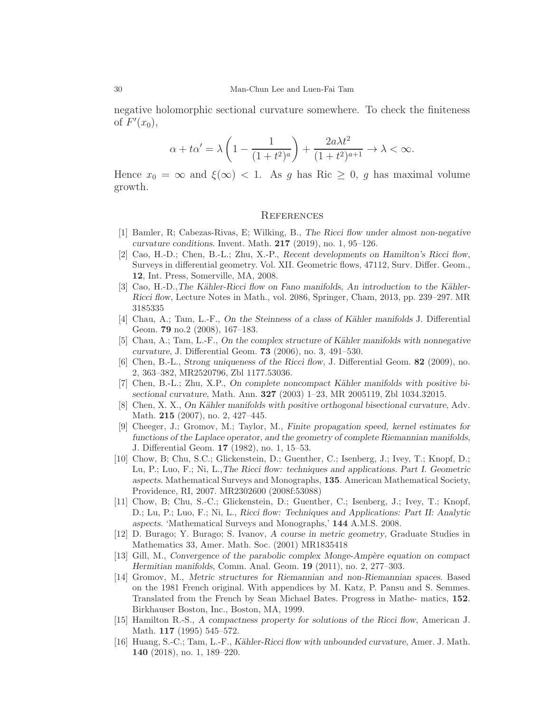negative holomorphic sectional curvature somewhere. To check the finiteness of  $F'(x_0)$ ,

$$
\alpha+t\alpha'=\lambda\left(1-\frac{1}{(1+t^2)^a}\right)+\frac{2a\lambda t^2}{(1+t^2)^{a+1}}\to\lambda<\infty.
$$

Hence  $x_0 = \infty$  and  $\xi(\infty) < 1$ . As g has Ric  $\geq 0$ , g has maximal volume growth.

### **REFERENCES**

- <span id="page-29-2"></span>[1] Bamler, R; Cabezas-Rivas, E; Wilking, B., The Ricci flow under almost non-negative curvature conditions. Invent. Math.  $217$  (2019), no. 1, 95–126.
- <span id="page-29-7"></span>[2] Cao, H.-D.; Chen, B.-L.; Zhu, X.-P., Recent developments on Hamilton's Ricci flow, Surveys in differential geometry. Vol. XII. Geometric flows, 47112, Surv. Differ. Geom., 12, Int. Press, Somerville, MA, 2008.
- <span id="page-29-8"></span>[3] Cao, H.-D.,The Kähler-Ricci flow on Fano manifolds, An introduction to the Kähler-Ricci flow, Lecture Notes in Math., vol. 2086, Springer, Cham, 2013, pp. 239–297. MR 3185335
- <span id="page-29-14"></span>[4] Chau, A.; Tam, L.-F., On the Steinness of a class of Kähler manifolds J. Differential Geom. 79 no.2 (2008), 167–183.
- <span id="page-29-4"></span> $[5]$  Chau, A.; Tam, L.-F., On the complex structure of Kähler manifolds with nonnegative curvature, J. Differential Geom. 73 (2006), no. 3, 491–530.
- <span id="page-29-11"></span>[6] Chen, B.-L., Strong uniqueness of the Ricci flow, J. Differential Geom. 82 (2009), no. 2, 363–382, MR2520796, Zbl 1177.53036.
- <span id="page-29-15"></span>[7] Chen, B.-L.; Zhu, X.P., On complete noncompact Kähler manifolds with positive bisectional curvature, Math. Ann. 327 (2003) 1–23, MR 2005119, Zbl 1034.32015.
- <span id="page-29-5"></span>[8] Chen, X. X., On Kähler manifolds with positive orthogonal bisectional curvature, Adv. Math. 215 (2007), no. 2, 427–445.
- <span id="page-29-9"></span>[9] Cheeger, J.; Gromov, M.; Taylor, M., Finite propagation speed, kernel estimates for functions of the Laplace operator, and the geometry of complete Riemannian manifolds, J. Differential Geom. 17 (1982), no. 1, 15–53.
- <span id="page-29-13"></span>[10] Chow, B; Chu, S.C.; Glickenstein, D.; Guenther, C.; Isenberg, J.; Ivey, T.; Knopf, D.; Lu, P.; Luo, F.; Ni, L.,The Ricci flow: techniques and applications. Part I. Geometric aspects. Mathematical Surveys and Monographs, 135. American Mathematical Society, Providence, RI, 2007. MR2302600 (2008f:53088)
- <span id="page-29-12"></span>[11] Chow, B; Chu, S.-C.; Glickenstein, D.; Guenther, C.; Isenberg, J.; Ivey, T.; Knopf, D.; Lu, P.; Luo, F.; Ni, L., Ricci flow: Techniques and Applications: Part II: Analytic aspects. 'Mathematical Surveys and Monographs,' 144 A.M.S. 2008.
- <span id="page-29-1"></span>[12] D. Burago; Y. Burago; S. Ivanov, A course in metric geometry, Graduate Studies in Mathematics 33, Amer. Math. Soc. (2001) MR1835418
- <span id="page-29-3"></span>[13] Gill, M., Convergence of the parabolic complex Monge-Ampère equation on compact Hermitian manifolds, Comm. Anal. Geom. 19 (2011), no. 2, 277–303.
- <span id="page-29-0"></span>[14] Gromov, M., Metric structures for Riemannian and non-Riemannian spaces. Based on the 1981 French original. With appendices by M. Katz, P. Pansu and S. Semmes. Translated from the French by Sean Michael Bates. Progress in Mathe- matics, 152. Birkhauser Boston, Inc., Boston, MA, 1999.
- <span id="page-29-10"></span>[15] Hamilton R.-S., A compactness property for solutions of the Ricci flow, American J. Math. 117 (1995) 545–572.
- <span id="page-29-6"></span>[16] Huang, S.-C.; Tam, L.-F., Kähler-Ricci flow with unbounded curvature, Amer. J. Math. 140 (2018), no. 1, 189–220.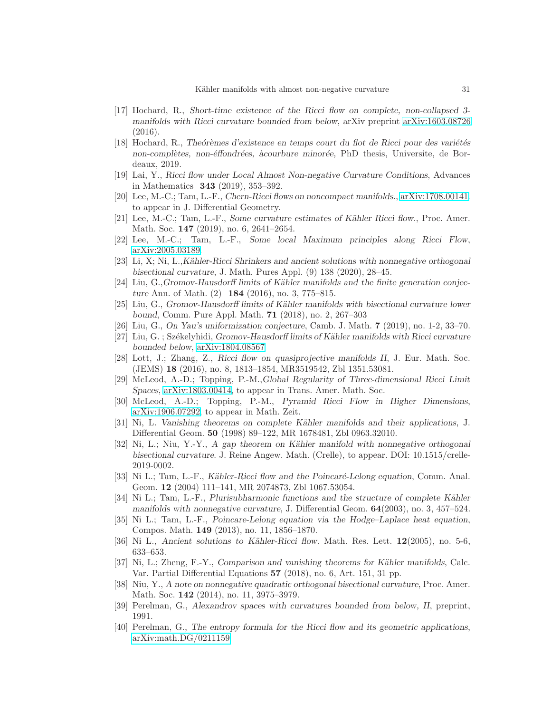- <span id="page-30-9"></span>[17] Hochard, R., Short-time existence of the Ricci flow on complete, non-collapsed 3 manifolds with Ricci curvature bounded from below, arXiv preprint [arXiv:1603.08726](http://arxiv.org/abs/1603.08726) (2016).
- <span id="page-30-0"></span>[18] Hochard, R., Theórèmes d'existence en temps court du flot de Ricci pour des variétés non-complètes, non-éffondrées, àcourbure minorée, PhD thesis, Universite, de Bordeaux, 2019.
- <span id="page-30-10"></span><span id="page-30-1"></span>[19] Lai, Y., Ricci flow under Local Almost Non-negative Curvature Conditions, Advances in Mathematics 343 (2019), 353–392.
- <span id="page-30-8"></span>[20] Lee, M.-C.; Tam, L.-F., Chern-Ricci flows on noncompact manifolds., [arXiv:1708.00141.](http://arxiv.org/abs/1708.00141) to appear in J. Differential Geometry.
- [21] Lee, M.-C.; Tam, L.-F., Some curvature estimates of Kähler Ricci flow., Proc. Amer. Math. Soc. 147 (2019), no. 6, 2641–2654.
- <span id="page-30-16"></span><span id="page-30-15"></span>[22] Lee, M.-C.; Tam, L.-F., Some local Maximum principles along Ricci Flow, [arXiv:2005.03189.](http://arxiv.org/abs/2005.03189)
- [23] Li, X; Ni, L.,K¨ahler-Ricci Shrinkers and ancient solutions with nonnegative orthogonal bisectional curvature, J. Math. Pures Appl. (9) 138 (2020), 28–45.
- <span id="page-30-12"></span>[24] Liu, G.,Gromov-Hausdorff limits of Kähler manifolds and the finite generation conjecture Ann. of Math. (2) 184 (2016), no. 3, 775–815.
- <span id="page-30-7"></span>[25] Liu, G., Gromov-Hausdorff limits of Kähler manifolds with bisectional curvature lower bound, Comm. Pure Appl. Math. 71 (2018), no. 2, 267–303
- <span id="page-30-6"></span><span id="page-30-5"></span>[26] Liu, G., On Yau's uniformization conjecture, Camb. J. Math. 7 (2019), no. 1-2, 33–70.
- <span id="page-30-23"></span>[27] Liu, G.; Székelyhidi, Gromov-Hausdorff limits of Kähler manifolds with Ricci curvature bounded below, [arXiv:1804.08567](http://arxiv.org/abs/1804.08567)
- [28] Lott, J.; Zhang, Z., Ricci flow on quasiprojective manifolds II, J. Eur. Math. Soc. (JEMS) 18 (2016), no. 8, 1813–1854, MR3519542, Zbl 1351.53081.
- <span id="page-30-3"></span><span id="page-30-2"></span>[29] McLeod, A.-D.; Topping, P.-M.,Global Regularity of Three-dimensional Ricci Limit Spaces, [arXiv:1803.00414,](http://arxiv.org/abs/1803.00414) to appear in Trans. Amer. Math. Soc.
- <span id="page-30-21"></span>[30] McLeod, A.-D.; Topping, P.-M., Pyramid Ricci Flow in Higher Dimensions, [arXiv:1906.07292,](http://arxiv.org/abs/1906.07292) to appear in Math. Zeit.
- [31] Ni, L. Vanishing theorems on complete Kähler manifolds and their applications, J. Differential Geom. 50 (1998) 89–122, MR 1678481, Zbl 0963.32010.
- <span id="page-30-20"></span>[32] Ni, L.; Niu, Y.-Y., A gap theorem on Kähler manifold with nonnegative orthogonal bisectional curvature. J. Reine Angew. Math. (Crelle), to appear. DOI: 10.1515/crelle-2019-0002.
- <span id="page-30-18"></span>[33] Ni L.; Tam, L.-F., Kähler-Ricci flow and the Poincaré-Lelong equation, Comm. Anal. Geom. 12 (2004) 111–141, MR 2074873, Zbl 1067.53054.
- <span id="page-30-22"></span>[34] Ni L.; Tam, L.-F., Plurisubharmonic functions and the structure of complete Kähler manifolds with nonnegative curvature, J. Differential Geom. 64(2003), no. 3, 457–524.
- <span id="page-30-19"></span>[35] Ni L.; Tam, L.-F., Poincare-Lelong equation via the Hodge–Laplace heat equation, Compos. Math. 149 (2013), no. 11, 1856–1870.
- <span id="page-30-17"></span><span id="page-30-11"></span>[36] Ni L., Ancient solutions to Kähler-Ricci flow. Math. Res. Lett.  $12(2005)$ , no. 5-6, 633–653.
- [37] Ni, L.; Zheng, F.-Y., Comparison and vanishing theorems for Kähler manifolds, Calc. Var. Partial Differential Equations 57 (2018), no. 6, Art. 151, 31 pp.
- <span id="page-30-13"></span>[38] Niu, Y., A note on nonnegative quadratic orthogonal bisectional curvature, Proc. Amer. Math. Soc. **142** (2014), no. 11, 3975-3979.
- <span id="page-30-14"></span><span id="page-30-4"></span>[39] Perelman, G., Alexandrov spaces with curvatures bounded from below, II, preprint, 1991.
- [40] Perelman, G., The entropy formula for the Ricci flow and its geometric applications, [arXiv:math.DG/0211159](http://arxiv.org/abs/math/0211159)